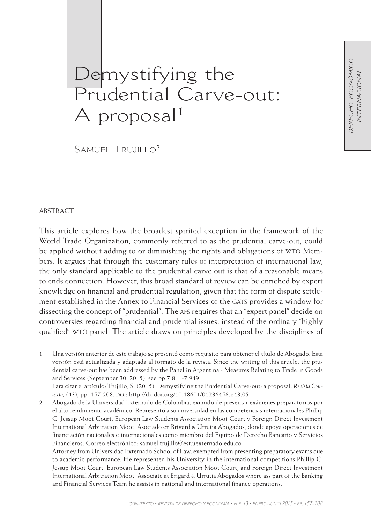DERECHO ECONÓMICO *derecho económico* **INTERNACIONAL** *internacional*

# Demystifying the Prudential Carve-out: A proposal<sup>1</sup>

 $SAMUFI$  Trujillo<sup>2</sup>

## **ABSTRACT**

This article explores how the broadest spirited exception in the framework of the World Trade Organization, commonly referred to as the prudential carve-out, could be applied without adding to or diminishing the rights and obligations of WTO Members. It argues that through the customary rules of interpretation of international law, the only standard applicable to the prudential carve out is that of a reasonable means to ends connection. However, this broad standard of review can be enriched by expert knowledge on financial and prudential regulation, given that the form of dispute settlement established in the Annex to Financial Services of the GATS provides a window for dissecting the concept of "prudential". The afs requires that an "expert panel" decide on controversies regarding financial and prudential issues, instead of the ordinary "highly qualified" wto panel. The article draws on principles developed by the disciplines of

1 Una versión anterior de este trabajo se presentó como requisito para obtener el título de Abogado. Esta versión está actualizada y adaptada al formato de la revista. Since the writing of this article, the prudential carve-out has been addressed by the Panel in Argentina - Measures Relating to Trade in Goods and Services (September 30, 2015), see pp 7.811-7.949. Para citar el artículo: Trujillo, S. (2015). Demystifying the Prudential Carve-out: a proposal. *Revista Con*texto, (43), pp. 157-208. DOI: http://dx.doi.org/10.18601/01236458.n43.05

2 Abogado de la Universidad Externado de Colombia, eximido de presentar exámenes preparatorios por el alto rendimiento académico. Representó a su universidad en las competencias internacionales Phillip C. Jessup Moot Court, European Law Students Association Moot Court y Foreign Direct Investment International Arbitration Moot. Asociado en Brigard & Urrutia Abogados, donde apoya operaciones de financiación nacionales e internacionales como miembro del Equipo de Derecho Bancario y Servicios Financieros. Correo electrónico: samuel.trujillo@est.uexternado.edu.co

Attorney from Universidad Externado School of Law, exempted from presenting preparatory exams due to academic performance. He represented his University in the international competitions Phillip C. Jessup Moot Court, European Law Students Association Moot Court, and Foreign Direct Investment International Arbitration Moot. Associate at Brigard & Urrutia Abogados where ass part of the Banking and Financial Services Team he assists in national and international finance operations.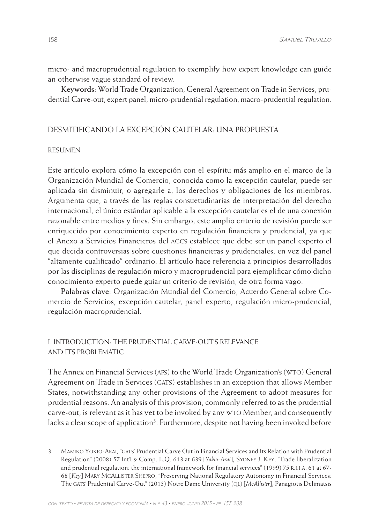micro- and macroprudential regulation to exemplify how expert knowledge can guide an otherwise vague standard of review.

**Keywords**: World Trade Organization, General Agreement on Trade in Services, prudential Carve-out, expert panel, micro-prudential regulation, macro-prudential regulation.

# Desmitificando la excepción cautelar: una propuesta

#### Resumen

Este artículo explora cómo la excepción con el espíritu más amplio en el marco de la Organización Mundial de Comercio, conocida como la excepción cautelar, puede ser aplicada sin disminuir, o agregarle a, los derechos y obligaciones de los miembros. Argumenta que, a través de las reglas consuetudinarias de interpretación del derecho internacional, el único estándar aplicable a la excepción cautelar es el de una conexión razonable entre medios y fines. Sin embargo, este amplio criterio de revisión puede ser enriquecido por conocimiento experto en regulación financiera y prudencial, ya que el Anexo a Servicios Financieros del agcs establece que debe ser un panel experto el que decida controversias sobre cuestiones financieras y prudenciales, en vez del panel "altamente cualificado" ordinario. El artículo hace referencia a principios desarrollados por las disciplinas de regulación micro y macroprudencial para ejemplificar cómo dicho conocimiento experto puede guiar un criterio de revisión, de otra forma vago.

**Palabras clave**: Organización Mundial del Comercio, Acuerdo General sobre Comercio de Servicios, excepción cautelar, panel experto, regulación micro-prudencial, regulación macroprudencial.

# i. Introduction: The Prudential Carve-out's relevance and its problematic

The Annex on Financial Services (AFS) to the World Trade Organization's (WTO) General Agreement on Trade in Services (GATS) establishes in an exception that allows Member States, notwithstanding any other provisions of the Agreement to adopt measures for prudential reasons. An analysis of this provision, commonly referred to as the prudential carve-out, is relevant as it has yet to be invoked by any wto Member, and consequently lacks a clear scope of application<sup>3</sup>. Furthermore, despite not having been invoked before

3 MAMIKO YOKIO-ARAI, "GATS' Prudential Carve Out in Financial Services and Its Relation with Prudential Regulation" (2008) 57 Int'l & Comp. L.Q. 613 at 639 [*Yokio-Arai*]; Sydney J. Key, "Trade liberalization and prudential regulation: the international framework for financial services" (1999) 75 R.I.I.A. 61 at 67-68 [*Key*] Mary McAllister Shepro, "Preserving National Regulatory Autonomy in Financial Services: The gats' Prudential Carve-Out" (2013) Notre Dame University (ql) [*McAllister*]; Panagiotis Delimatsis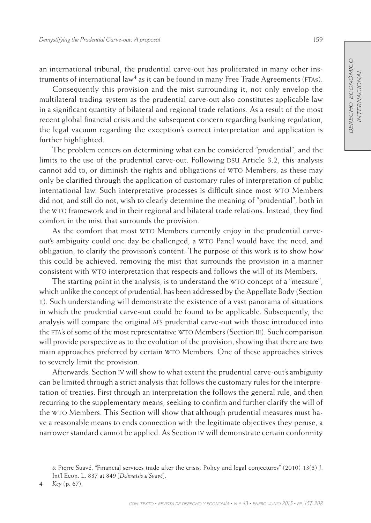an international tribunal, the prudential carve-out has proliferated in many other instruments of international law<sup>4</sup> as it can be found in many Free Trade Agreements (FTAs).

Consequently this provision and the mist surrounding it, not only envelop the multilateral trading system as the prudential carve-out also constitutes applicable law in a significant quantity of bilateral and regional trade relations. As a result of the most recent global financial crisis and the subsequent concern regarding banking regulation, the legal vacuum regarding the exception's correct interpretation and application is further highlighted.

The problem centers on determining what can be considered "prudential", and the limits to the use of the prudential carve-out. Following DSU Article 3.2, this analysis cannot add to, or diminish the rights and obligations of WTO Members, as these may only be clarified through the application of customary rules of interpretation of public international law. Such interpretative processes is difficult since most wto Members did not, and still do not, wish to clearly determine the meaning of "prudential", both in the wto framework and in their regional and bilateral trade relations. Instead, they find comfort in the mist that surrounds the provision.

As the comfort that most WTO Members currently enjoy in the prudential carveout's ambiguity could one day be challenged, a wto Panel would have the need, and obligation, to clarify the provision's content. The purpose of this work is to show how this could be achieved, removing the mist that surrounds the provision in a manner consistent with wto interpretation that respects and follows the will of its Members.

The starting point in the analysis, is to understand the WTO concept of a "measure", which unlike the concept of prudential, has been addressed by the Appellate Body (Section ii). Such understanding will demonstrate the existence of a vast panorama of situations in which the prudential carve-out could be found to be applicable. Subsequently, the analysis will compare the original afs prudential carve-out with those introduced into the fta's of some of the most representative wto Members (Section iii). Such comparison will provide perspective as to the evolution of the provision, showing that there are two main approaches preferred by certain wto Members. One of these approaches strives to severely limit the provision.

Afterwards, Section iv will show to what extent the prudential carve-out's ambiguity can be limited through a strict analysis that follows the customary rules for the interpretation of treaties. First through an interpretation the follows the general rule, and then recurring to the supplementary means, seeking to confirm and further clarify the will of the WTO Members. This Section will show that although prudential measures must have a reasonable means to ends connection with the legitimate objectives they peruse, a narrower standard cannot be applied. As Section iv will demonstrate certain conformity

4 *Key* (p. 67).

<sup>&</sup>amp; Pierre Suavé, "Financial services trade after the crisis: Policy and legal conjectures" (2010) 13(3) J. Int'l Econ. L. 837 at 849 [*Delimatsis & Suavé*].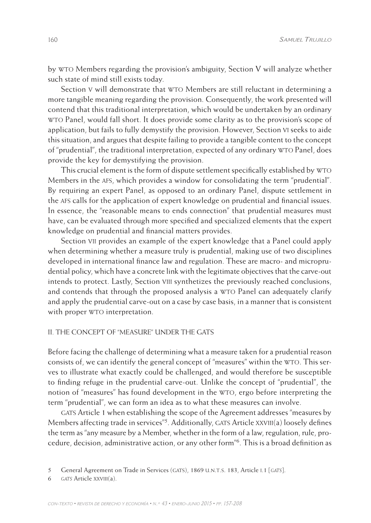by wto Members regarding the provision's ambiguity, Section V will analyze whether such state of mind still exists today.

Section V will demonstrate that WTO Members are still reluctant in determining a more tangible meaning regarding the provision. Consequently, the work presented will contend that this traditional interpretation, which would be undertaken by an ordinary wto Panel, would fall short. It does provide some clarity as to the provision's scope of application, but fails to fully demystify the provision. However, Section vi seeks to aide this situation, and argues that despite failing to provide a tangible content to the concept of "prudential", the traditional interpretation, expected of any ordinary WTO Panel, does provide the key for demystifying the provision.

This crucial element is the form of dispute settlement specifically established by wto Members in the afs, which provides a window for consolidating the term "prudential". By requiring an expert Panel, as opposed to an ordinary Panel, dispute settlement in the afs calls for the application of expert knowledge on prudential and financial issues. In essence, the "reasonable means to ends connection" that prudential measures must have, can be evaluated through more specified and specialized elements that the expert knowledge on prudential and financial matters provides.

Section vii provides an example of the expert knowledge that a Panel could apply when determining whether a measure truly is prudential, making use of two disciplines developed in international finance law and regulation. These are macro- and microprudential policy, which have a concrete link with the legitimate objectives that the carve-out intends to protect. Lastly, Section viii synthetizes the previously reached conclusions, and contends that through the proposed analysis a WTO Panel can adequately clarify and apply the prudential carve-out on a case by case basis, in a manner that is consistent with proper WTO interpretation.

#### II. THE CONCEPT OF "MEASURE" UNDER THE GATS

Before facing the challenge of determining what a measure taken for a prudential reason consists of, we can identify the general concept of "measures" within the WTO. This serves to illustrate what exactly could be challenged, and would therefore be susceptible to finding refuge in the prudential carve-out. Unlike the concept of "prudential", the notion of "measures" has found development in the wto, ergo before interpreting the term "prudential", we can form an idea as to what these measures can involve.

gats Article 1 when establishing the scope of the Agreement addresses "measures by Members affecting trade in services"<sup>5</sup>. Additionally, GATS Article XXVIII(a) loosely defines the term as "any measure by a Member, whether in the form of a law, regulation, rule, procedure, decision, administrative action, or any other form"6. This is a broad definition as

<sup>5</sup> General Agreement on Trade in Services (gats), 1869 u.n.t.s. 183, Article i.1 [*gats*].

<sup>6</sup> *gats* Article xxviii(a).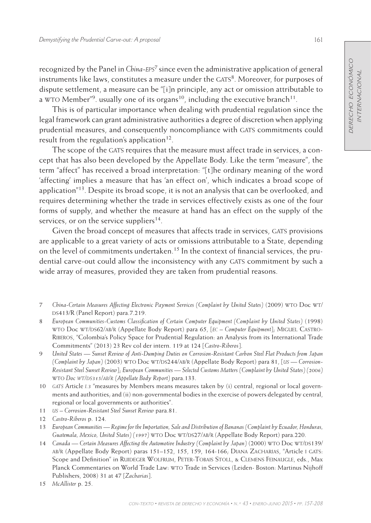recognized by the Panel in *China-eps*7 since even the administrative application of general instruments like laws, constitutes a measure under the GATS<sup>8</sup>. Moreover, for purposes of dispute settlement, a measure can be "[i]n principle, any act or omission attributable to a WTO Member<sup>"9</sup>, usually one of its organs<sup>10</sup>, including the executive branch<sup>11</sup>.

This is of particular importance when dealing with prudential regulation since the legal framework can grant administrative authorities a degree of discretion when applying prudential measures, and consequently noncompliance with GATS commitments could result from the regulation's application<sup>12</sup>.

The scope of the GATS requires that the measure must affect trade in services, a concept that has also been developed by the Appellate Body. Like the term "measure", the term "affect" has received a broad interpretation: "[t]he ordinary meaning of the word 'affecting' implies a measure that has 'an effect on', which indicates a broad scope of application"<sup>13</sup>. Despite its broad scope, it is not an analysis that can be overlooked, and requires determining whether the trade in services effectively exists as one of the four forms of supply, and whether the measure at hand has an effect on the supply of the services, or on the service suppliers $^{14}$ .

Given the broad concept of measures that affects trade in services, GATS provisions are applicable to a great variety of acts or omissions attributable to a State, depending on the level of commitments undertaken.<sup>15</sup> In the context of financial services, the prudential carve-out could allow the inconsistency with any GATS commitment by such a wide array of measures, provided they are taken from prudential reasons.

- 7 *China-Certain Measures Affecting Electronic Payment Services (Complaint by United States)* (2009) wto Doc wt/ DS413/R (Panel Report) para.7.219.
- 8 *European Communities-Customs Classification of Certain Computer Equipment (Complaint by United States)* (1998) wto Doc wt/ds62/ab/r (Appellate Body Report) para 65, [*ec – Computer Equipment*]; Miguel Castro-Riberos, "Colombia's Policy Space for Prudential Regulation: an Analysis from its International Trade Commitments" (2013) 23 Rev col der intern. 119 at 124 [*Castro-Riberos*].
- 9 *United States Sunset Review of Anti-Dumping Duties on Corrosion-Resistant Carbon Steel Flat Products from Japan (Complaint by Japan)* (2003) WTO Doc WT/DS244/AB/R (Appellate Body Report) para 81, [*us* — Corrosion-*Resistant Steel Sunset Review*]; *European Communities — Selected Customs Matters (Complaint by United States) (2006)*  wto *Doc wt/ds315/ab/r (Appellate Body Report)* para.133.
- 10 *gats* Article *i.3* "measures by Members means measures taken by (i) central, regional or local governments and authorities; and (ii) non-governmental bodies in the exercise of powers delegated by central, regional or local governments or authorities".
- 11 *us Corrosion-Resistant Steel Sunset Review* para.81.
- 12 *Castro-Riberos* p. 124.
- 13 *European Communities Regime for the Importation, Sale and Distribution of Bananas (Complaint by Ecuador, Honduras,*  Guatemala, Mexico, United States) (1997) WTO Doc WT/DS27/AB/R (Appellate Body Report) para.220.
- 14 *Canada* Certain Measures Affecting the Automotive Industry (Complaint by Japan) (2000) WTO Doc WT/DS139/ AB/R (Appellate Body Report) paras 151–152, 155, 159, 164-166; DIANA ZACHARIAS, "Article I GATS: Scope and Definition" in RUIDEGER WOLFRUM, PETER-TOBAIS STOLL, & CLEMENS FEINAUGLE, eds., Max Planck Commentaries on World Trade Law: wto Trade in Services (Leiden- Boston: Martinus Nijhoff Publishers, 2008) 31 at 47 [*Zacharias*].
- 15 *McAllister* p. 25.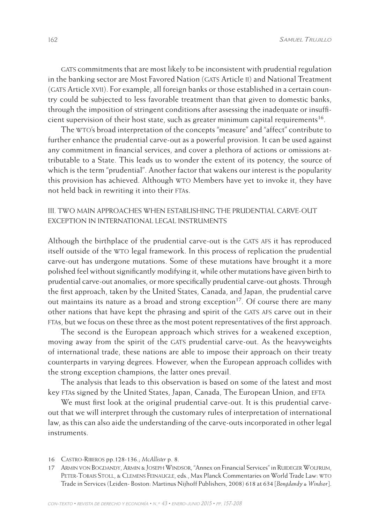GATS commitments that are most likely to be inconsistent with prudential regulation in the banking sector are Most Favored Nation (GATS Article II) and National Treatment (GATS Article XVII). For example, all foreign banks or those established in a certain country could be subjected to less favorable treatment than that given to domestic banks, through the imposition of stringent conditions after assessing the inadequate or insufficient supervision of their host state, such as greater minimum capital requirements<sup>16</sup>.

The wto's broad interpretation of the concepts "measure" and "affect" contribute to further enhance the prudential carve-out as a powerful provision. It can be used against any commitment in financial services, and cover a plethora of actions or omissions attributable to a State. This leads us to wonder the extent of its potency, the source of which is the term "prudential". Another factor that wakens our interest is the popularity this provision has achieved. Although wto Members have yet to invoke it, they have not held back in rewriting it into their FTAs.

# IiI. Two main approaches when establishing the prudential carve-out exception in international legal instruments

Although the birthplace of the prudential carve-out is the GATS AFS it has reproduced itself outside of the wto legal framework. In this process of replication the prudential carve-out has undergone mutations. Some of these mutations have brought it a more polished feel without significantly modifying it, while other mutations have given birth to prudential carve-out anomalies, or more specifically prudential carve-out ghosts. Through the first approach, taken by the United States, Canada, and Japan, the prudential carve out maintains its nature as a broad and strong exception<sup>17</sup>. Of course there are many other nations that have kept the phrasing and spirit of the GATS AFS carve out in their ftas, but we focus on these three as the most potent representatives of the first approach.

The second is the European approach which strives for a weakened exception, moving away from the spirit of the GATS prudential carve-out. As the heavyweights of international trade, these nations are able to impose their approach on their treaty counterparts in varying degrees. However, when the European approach collides with the strong exception champions, the latter ones prevail.

The analysis that leads to this observation is based on some of the latest and most key FTAs signed by the United States, Japan, Canada, The European Union, and EFTA

We must first look at the original prudential carve-out. It is this prudential carveout that we will interpret through the customary rules of interpretation of international law, as this can also aide the understanding of the carve-outs incorporated in other legal instruments.

<sup>16</sup> Castro-Riberos pp.128-136.; *McAllister* p. 8.

<sup>17</sup> Armin von Bogdandy, Armin & Joseph Windsor, "Annex on Financial Services" in Ruideger Wolfrum, Peter-Tobais Stoll, & Clemens Feinaugle, eds., Max Planck Commentaries on World Trade Law: wto Trade in Services (Leiden- Boston: Martinus Nijhoff Publishers, 2008) 618 at 634 [*Bongdandy & Windsor*].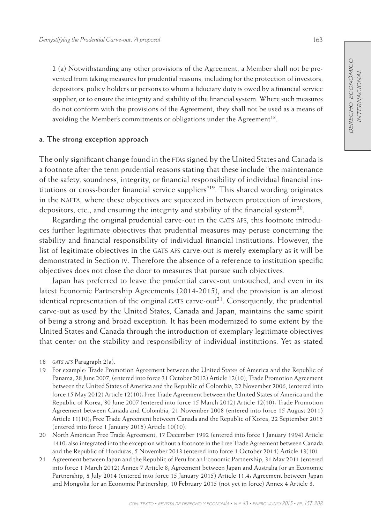2 (a) Notwithstanding any other provisions of the Agreement, a Member shall not be prevented from taking measures for prudential reasons, including for the protection of investors, depositors, policy holders or persons to whom a fiduciary duty is owed by a financial service supplier, or to ensure the integrity and stability of the financial system. Where such measures do not conform with the provisions of the Agreement, they shall not be used as a means of avoiding the Member's commitments or obligations under the Agreement<sup>18</sup>.

#### **a. The strong exception approach**

The only significant change found in the ftas signed by the United States and Canada is a footnote after the term prudential reasons stating that these include "the maintenance of the safety, soundness, integrity, or financial responsibility of individual financial institutions or cross-border financial service suppliers"19. This shared wording originates in the nafta, where these objectives are squeezed in between protection of investors, depositors, etc., and ensuring the integrity and stability of the financial system<sup>20</sup>.

Regarding the original prudential carve-out in the GATS AFS, this footnote introduces further legitimate objectives that prudential measures may peruse concerning the stability and financial responsibility of individual financial institutions. However, the list of legitimate objectives in the GATS AFS carve-out is merely exemplary as it will be demonstrated in Section iv. Therefore the absence of a reference to institution specific objectives does not close the door to measures that pursue such objectives.

Japan has preferred to leave the prudential carve-out untouched, and even in its latest Economic Partnership Agreements (2014-2015), and the provision is an almost identical representation of the original GATS carve-out<sup>21</sup>. Consequently, the prudential carve-out as used by the United States, Canada and Japan, maintains the same spirit of being a strong and broad exception. It has been modernized to some extent by the United States and Canada through the introduction of exemplary legitimate objectives that center on the stability and responsibility of individual institutions. Yet as stated

19 For example: Trade Promotion Agreement between the United States of America and the Republic of Panama, 28 June 2007, (entered into force 31 October 2012) Article 12(10); Trade Promotion Agreement between the United States of America and the Republic of Colombia, 22 November 2006, (entered into force 15 May 2012) Article 12(10); Free Trade Agreement between the United States of America and the Republic of Korea, 30 June 2007 (entered into force 15 March 2012) Article 12(10); Trade Promotion Agreement between Canada and Colombia, 21 November 2008 (entered into force 15 August 2011) Article 11(10); Free Trade Agreement between Canada and the Republic of Korea, 22 September 2015 (entered into force 1 January 2015) Article 10(10).

20 North American Free Trade Agreement, 17 December 1992 (entered into force 1 January 1994) Article 1410; also integrated into the exception without a footnote in the Free Trade Agreement between Canada and the Republic of Honduras, 5 November 2013 (entered into force 1 October 2014) Article 13(10).

21 Agreement between Japan and the Republic of Peru for an Economic Partnership, 31 May 2011 (entered into force 1 March 2012) Annex 7 Article 8; Agreement between Japan and Australia for an Economic Partnership, 8 July 2014 (entered into force 15 January 2015) Article 11.4; Agreement between Japan and Mongolia for an Economic Partnership, 10 February 2015 (not yet in force) Annex 4 Article 3.

<sup>18</sup> *gats afs* Paragraph 2(a).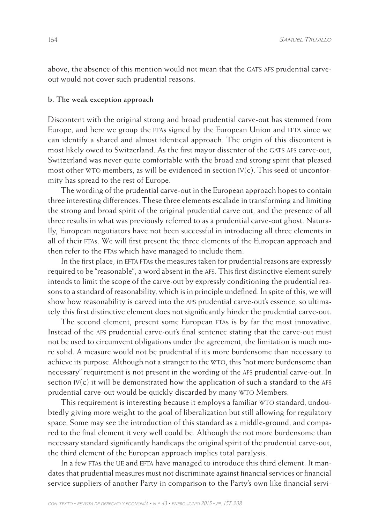above, the absence of this mention would not mean that the GATS AFS prudential carveout would not cover such prudential reasons.

#### **b. The weak exception approach**

Discontent with the original strong and broad prudential carve-out has stemmed from Europe, and here we group the FTAs signed by the European Union and EFTA since we can identify a shared and almost identical approach. The origin of this discontent is most likely owed to Switzerland. As the first mayor dissenter of the GATS AFS carve-out, Switzerland was never quite comfortable with the broad and strong spirit that pleased most other WTO members, as will be evidenced in section  $V(c)$ . This seed of unconformity has spread to the rest of Europe.

The wording of the prudential carve-out in the European approach hopes to contain three interesting differences. These three elements escalade in transforming and limiting the strong and broad spirit of the original prudential carve out, and the presence of all three results in what was previously referred to as a prudential carve-out ghost. Naturally, European negotiators have not been successful in introducing all three elements in all of their ftas. We will first present the three elements of the European approach and then refer to the FTAs which have managed to include them.

In the first place, in EFTA FTAs the measures taken for prudential reasons are expressly required to be "reasonable", a word absent in the afs. This first distinctive element surely intends to limit the scope of the carve-out by expressly conditioning the prudential reasons to a standard of reasonability, which is in principle undefined. In spite of this, we will show how reasonability is carved into the afs prudential carve-out's essence, so ultimately this first distinctive element does not significantly hinder the prudential carve-out.

The second element, present some European FTAs is by far the most innovative. Instead of the afs prudential carve-out's final sentence stating that the carve-out must not be used to circumvent obligations under the agreement, the limitation is much more solid. A measure would not be prudential if it's more burdensome than necessary to achieve its purpose. Although not a stranger to the WTO, this "not more burdensome than necessary" requirement is not present in the wording of the afs prudential carve-out. In section  $IV(c)$  it will be demonstrated how the application of such a standard to the AFS prudential carve-out would be quickly discarded by many wto Members.

This requirement is interesting because it employs a familiar WTO standard, undoubtedly giving more weight to the goal of liberalization but still allowing for regulatory space. Some may see the introduction of this standard as a middle-ground, and compared to the final element it very well could be. Although the not more burdensome than necessary standard significantly handicaps the original spirit of the prudential carve-out, the third element of the European approach implies total paralysis.

In a few FTAs the UE and EFTA have managed to introduce this third element. It mandates that prudential measures must not discriminate against financial services or financial service suppliers of another Party in comparison to the Party's own like financial servi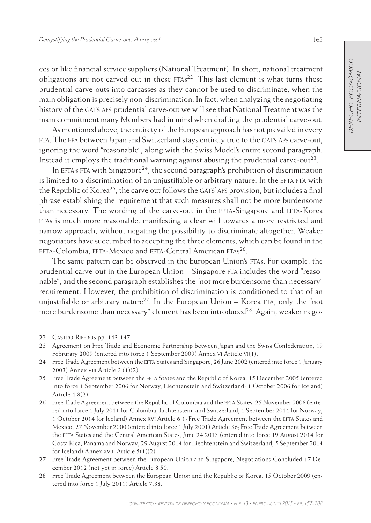ces or like financial service suppliers (National Treatment). In short, national treatment obligations are not carved out in these  $FTAs<sup>22</sup>$ . This last element is what turns these prudential carve-outs into carcasses as they cannot be used to discriminate, when the main obligation is precisely non-discrimination. In fact, when analyzing the negotiating history of the GATS AFS prudential carve-out we will see that National Treatment was the main commitment many Members had in mind when drafting the prudential carve-out.

As mentioned above, the entirety of the European approach has not prevailed in every fta. The epa between Japan and Switzerland stays entirely true to the gats afs carve-out, ignoring the word "reasonable", along with the Swiss Model's entire second paragraph. Instead it employs the traditional warning against abusing the prudential carve-out<sup>23</sup>.

In EFTA's FTA with Singapore<sup>24</sup>, the second paragraph's prohibition of discrimination is limited to a discrimination of an unjustifiable or arbitrary nature. In the EFTA FTA with the Republic of Korea<sup>25</sup>, the carve out follows the GATS' AFS provision, but includes a final phrase establishing the requirement that such measures shall not be more burdensome than necessary. The wording of the carve-out in the EFTA-Singapore and EFTA-Korea ftas is much more reasonable, manifesting a clear will towards a more restricted and narrow approach, without negating the possibility to discriminate altogether. Weaker negotiators have succumbed to accepting the three elements, which can be found in the EFTA-Colombia, EFTA-Mexico and EFTA-Central American FTAs<sup>26</sup>.

The same pattern can be observed in the European Union's FTAs. For example, the prudential carve-out in the European Union – Singapore fta includes the word "reasonable", and the second paragraph establishes the "not more burdensome than necessary" requirement. However, the prohibition of discrimination is conditioned to that of an unjustifiable or arbitrary nature<sup>27</sup>. In the European Union – Korea FTA, only the "not more burdensome than necessary" element has been introduced<sup>28</sup>. Again, weaker nego-

- 24 Free Trade Agreement between the EFTA States and Singapore, 26 June 2002 (entered into force 1 January 2003) Annex viii Article 3 (1)(2).
- 25 Free Trade Agreement between the efta States and the Republic of Korea, 15 December 2005 (entered into force 1 September 2006 for Norway, Liechtenstein and Switzerland; 1 October 2006 for Iceland) Article 4.8(2).
- 26 Free Trade Agreement between the Republic of Colombia and the EFTA States, 25 November 2008 (entered into force 1 July 2011 for Colombia, Lichtenstein, and Switzerland; 1 September 2014 for Norway; 1 October 2014 for Iceland) Annex XVI Article 6.1; Free Trade Agreement between the EFTA States and Mexico, 27 November 2000 (entered into force 1 July 2001) Article 36; Free Trade Agreement between the efta States and the Central American States, June 24 2013 (entered into force 19 August 2014 for Costa Rica, Panama and Norway; 29 August 2014 for Liechtenstein and Switzerland; 5 September 2014 for Iceland) Annex XVII, Article 5(1)(2).
- 27 Free Trade Agreement between the European Union and Singapore, Negotiations Concluded 17 December 2012 (not yet in force) Article 8.50.
- 28 Free Trade Agreement between the European Union and the Republic of Korea, 15 October 2009 (entered into force 1 July 2011) Article 7.38.

<sup>22</sup> Castro-Riberos pp. 143-147.

<sup>23</sup> Agreement on Free Trade and Economic Partnership between Japan and the Swiss Confederation, 19 Februrary 2009 (entered into force 1 September 2009) Annex vi Article vi(1).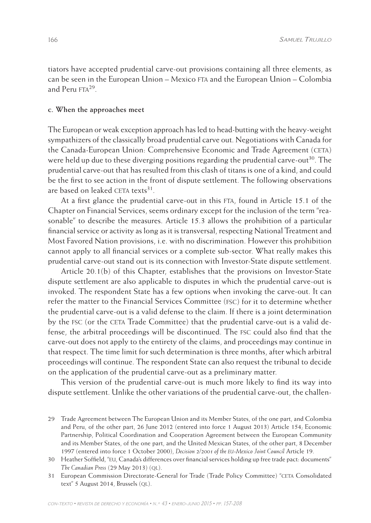tiators have accepted prudential carve-out provisions containing all three elements, as can be seen in the European Union – Mexico fta and the European Union – Colombia and Peru FTA<sup>29</sup>

#### **c. When the approaches meet**

The European or weak exception approach has led to head-butting with the heavy-weight sympathizers of the classically broad prudential carve out. Negotiations with Canada for the Canada-European Union: Comprehensive Economic and Trade Agreement (ceta) were held up due to these diverging positions regarding the prudential carve-out<sup>30</sup>. The prudential carve-out that has resulted from this clash of titans is one of a kind, and could be the first to see action in the front of dispute settlement. The following observations are based on leaked CETA texts $31$ .

At a first glance the prudential carve-out in this FTA, found in Article 15.1 of the Chapter on Financial Services, seems ordinary except for the inclusion of the term "reasonable" to describe the measures. Article 15.3 allows the prohibition of a particular financial service or activity as long as it is transversal, respecting National Treatment and Most Favored Nation provisions, i.e. with no discrimination. However this prohibition cannot apply to all financial services or a complete sub-sector. What really makes this prudential carve-out stand out is its connection with Investor-State dispute settlement.

Article 20.1(b) of this Chapter, establishes that the provisions on Investor-State dispute settlement are also applicable to disputes in which the prudential carve-out is invoked. The respondent State has a few options when invoking the carve-out. It can refer the matter to the Financial Services Committee (fsc) for it to determine whether the prudential carve-out is a valid defense to the claim. If there is a joint determination by the fsc (or the ceta Trade Committee) that the prudential carve-out is a valid defense, the arbitral proceedings will be discontinued. The fsc could also find that the carve-out does not apply to the entirety of the claims, and proceedings may continue in that respect. The time limit for such determination is three months, after which arbitral proceedings will continue. The respondent State can also request the tribunal to decide on the application of the prudential carve-out as a preliminary matter.

This version of the prudential carve-out is much more likely to find its way into dispute settlement. Unlike the other variations of the prudential carve-out, the challen-

<sup>29</sup> Trade Agreement between The European Union and its Member States, of the one part, and Colombia and Peru, of the other part, 26 June 2012 (entered into force 1 August 2013) Article 154; Economic Partnership, Political Coordination and Cooperation Agreement between the European Community and its Member States, of the one part, and the United Mexican States, of the other part, 8 December 1997 (entered into force 1 October 2000), *Decision 2/2001 of the eu-Mexico Joint Council* Article 19.

<sup>30</sup> Heather Soffield, "eu, Canada's differences over financial services holding up free trade pact: documents" *The Canadian Press* (29 May 2013) (QL).

<sup>31</sup> European Commission Directorate-General for Trade (Trade Policy Committee) "ceta Consolidated text" 5 August 2014, Brussels (QL).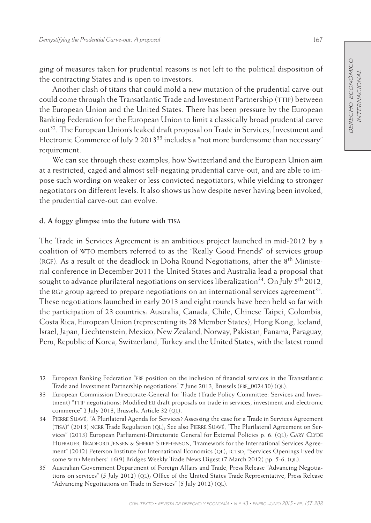ging of measures taken for prudential reasons is not left to the political disposition of the contracting States and is open to investors.

Another clash of titans that could mold a new mutation of the prudential carve-out could come through the Transatlantic Trade and Investment Partnership (TTIP) between the European Union and the United States. There has been pressure by the European Banking Federation for the European Union to limit a classically broad prudential carve out32. The European Union's leaked draft proposal on Trade in Services, Investment and Electronic Commerce of July 2 2013<sup>33</sup> includes a "not more burdensome than necessary" requirement.

We can see through these examples, how Switzerland and the European Union aim at a restricted, caged and almost self-negating prudential carve-out, and are able to impose such wording on weaker or less convicted negotiators, while yielding to stronger negotiators on different levels. It also shows us how despite never having been invoked, the prudential carve-out can evolve.

# **d. A foggy glimpse into the future with tisa**

The Trade in Services Agreement is an ambitious project launched in mid-2012 by a coalition of wto members referred to as the "Really Good Friends" of services group (RGF). As a result of the deadlock in Doha Round Negotiations, after the  $8<sup>th</sup>$  Ministerial conference in December 2011 the United States and Australia lead a proposal that sought to advance plurilateral negotiations on services liberalization<sup>34</sup>. On July 5<sup>th</sup> 2012, the RGF group agreed to prepare negotiations on an international services agreement<sup>35</sup>. These negotiations launched in early 2013 and eight rounds have been held so far with the participation of 23 countries: Australia, Canada, Chile, Chinese Taipei, Colombia, Costa Rica, European Union (representing its 28 Member States), Hong Kong, Iceland, Israel, Japan, Liechtenstein, Mexico, New Zealand, Norway, Pakistan, Panama, Paraguay, Peru, Republic of Korea, Switzerland, Turkey and the United States, with the latest round

<sup>32</sup> European Banking Federation "ebf position on the inclusion of financial services in the Transatlantic Trade and Investment Partnership negotiations" 7 June 2013, Brussels (EBF 002430) (QL).

<sup>33</sup> European Commission Directorate-General for Trade (Trade Policy Committee: Services and Investment) "TTIP negotiations: Modified EU draft proposals on trade in services, investment and electronic commerce" 2 July 2013, Brussels. Article 32 (ql).

<sup>34</sup> Pierre Suavé, "A Plurilateral Agenda for Services? Assessing the case for a Trade in Services Agreement (TISA)" (2013) NCRR Trade Regulation (QL); See also PIERRE SUAVÉ, "The Plurilateral Agreement on Services" (2013) European Parliament-Directorate General for External Policies p. 6. (QL); GARY CLYDE HUFBAUER, BRADFORD JENSEN & SHERRY STEPHENSON, "Framework for the International Services Agreement" (2012) Peterson Institute for International Economics (QL); ICTSD, "Services Openings Eyed by some wto Members" 16(9) Bridges Weekly Trade News Digest (7 March 2012) pp. 5-6. (ql).

<sup>35</sup> Australian Government Department of Foreign Affairs and Trade, Press Release "Advancing Negotiations on services" (5 July 2012) (ql); Office of the United States Trade Representative, Press Release "Advancing Negotiations on Trade in Services" (5 July 2012) (ql).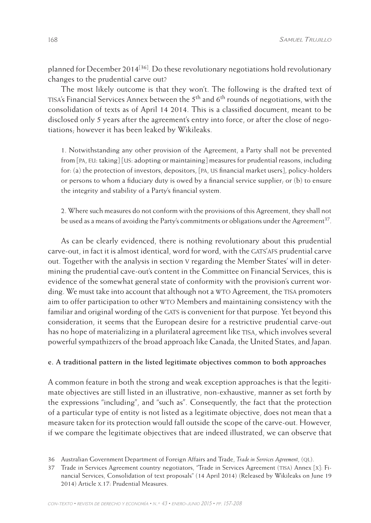planned for December 2014<sup>[36]</sup>. Do these revolutionary negotiations hold revolutionary changes to the prudential carve out?

The most likely outcome is that they won't. The following is the drafted text of TISA's Financial Services Annex between the  $5<sup>th</sup>$  and  $6<sup>th</sup>$  rounds of negotiations, with the consolidation of texts as of April 14 2014. This is a classified document, meant to be disclosed only 5 years after the agreement's entry into force, or after the close of negotiations; however it has been leaked by Wikileaks.

1. Notwithstanding any other provision of the Agreement, a Party shall not be prevented from [pa, eu: taking] [us: adopting or maintaining] measures for prudential reasons, including for: (a) the protection of investors, depositors, [pa, us financial market users], policy-holders or persons to whom a fiduciary duty is owed by a financial service supplier; or  $(b)$  to ensure the integrity and stability of a Party's financial system.

2. Where such measures do not conform with the provisions of this Agreement, they shall not be used as a means of avoiding the Party's commitments or obligations under the Agreement<sup>37</sup>.

As can be clearly evidenced, there is nothing revolutionary about this prudential carve-out, in fact it is almost identical, word for word, with the gats'afs prudential carve out. Together with the analysis in section v regarding the Member States' will in determining the prudential cave-out's content in the Committee on Financial Services, this is evidence of the somewhat general state of conformity with the provision's current wording. We must take into account that although not a WTO Agreement, the TISA promoters aim to offer participation to other wto Members and maintaining consistency with the familiar and original wording of the GATS is convenient for that purpose. Yet beyond this consideration, it seems that the European desire for a restrictive prudential carve-out has no hope of materializing in a plurilateral agreement like TISA, which involves several powerful sympathizers of the broad approach like Canada, the United States, and Japan.

## **e. A traditional pattern in the listed legitimate objectives common to both approaches**

A common feature in both the strong and weak exception approaches is that the legitimate objectives are still listed in an illustrative, non-exhaustive, manner as set forth by the expressions "including", and "such as". Consequently, the fact that the protection of a particular type of entity is not listed as a legitimate objective, does not mean that a measure taken for its protection would fall outside the scope of the carve-out. However, if we compare the legitimate objectives that are indeed illustrated, we can observe that

<sup>36</sup> Australian Government Department of Foreign Affairs and Trade, *Trade in Services Agreement*, (ql).

<sup>37</sup> Trade in Services Agreement country negotiators, "Trade in Services Agreement (tisa) Annex [x]: Financial Services, Consolidation of text proposals" (14 April 2014) (Released by Wikileaks on June 19 2014) Article x.17: Prudential Measures.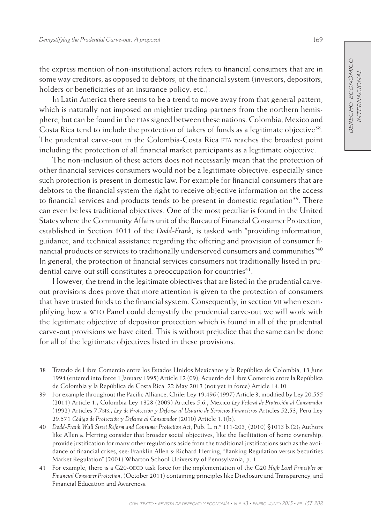the express mention of non-institutional actors refers to financial consumers that are in some way creditors, as opposed to debtors, of the financial system (investors, depositors, holders or beneficiaries of an insurance policy, etc.).

In Latin America there seems to be a trend to move away from that general pattern, which is naturally not imposed on mightier trading partners from the northern hemisphere, but can be found in the ftas signed between these nations. Colombia, Mexico and Costa Rica tend to include the protection of takers of funds as a legitimate objective<sup>38</sup>. The prudential carve-out in the Colombia-Costa Rica FTA reaches the broadest point including the protection of all financial market participants as a legitimate objective.

The non-inclusion of these actors does not necessarily mean that the protection of other financial services consumers would not be a legitimate objective, especially since such protection is present in domestic law. For example for financial consumers that are debtors to the financial system the right to receive objective information on the access to financial services and products tends to be present in domestic regulation<sup>39</sup>. There can even be less traditional objectives. One of the most peculiar is found in the United States where the Community Affairs unit of the Bureau of Financial Consumer Protection, established in Section 1011 of the *Dodd-Frank*, is tasked with "providing information, guidance, and technical assistance regarding the offering and provision of consumer financial products or services to traditionally underserved consumers and communities" $40$ In general, the protection of financial services consumers not traditionally listed in prudential carve-out still constitutes a preoccupation for countries<sup>41</sup>.

However, the trend in the legitimate objectives that are listed in the prudential carveout provisions does prove that more attention is given to the protection of consumers that have trusted funds to the financial system. Consequently, in section vii when exemplifying how a wto Panel could demystify the prudential carve-out we will work with the legitimate objective of depositor protection which is found in all of the prudential carve-out provisions we have cited. This is without prejudice that the same can be done for all of the legitimate objectives listed in these provisions.

- 38 Tratado de Libre Comercio entre los Estados Unidos Mexicanos y la República de Colombia, 13 June 1994 (entered into force 1 January 1995) Article 12 (09); Acuerdo de Libre Comercio entre la República de Colombia y la República de Costa Rica, 22 May 2013 (not yet in force) Article 14.10.
- 39 For example throughout the Pacific Alliance, Chile: Ley 19.496 (1997) Article 3, modified by Ley 20.555 (2011) Article 1.; Colombia Ley 1328 (2009) Articles 5,6.; Mexico *Ley Federal de Protección al Consumidor* (1992) Articles 7,7bis.; *Ley de Protección y Defensa al Usuario de Servicios Financieros* Articles 52,53; Peru Ley 29.571 *Código de Protección y Defensa al Consumidor* (2010) Article 1.1(b).
- 40 *Dodd-Frank Wall Street Reform and Consumer Protection Act*, Pub. L. n.º 111-203, (2010) §1013 b.(2); Authors like Allen & Herring consider that broader social objectives, like the facilitation of home ownership, provide justification for many other regulations aside from the traditional justifications such as the avoidance of financial crises, see: Franklin Allen & Richard Herring, "Banking Regulation versus Securities Market Regulation" (2001) Wharton School University of Pennsylvania, p. 1.
- 41 For example, there is a G20-oecd task force for the implementation of the G20 *High Level Principles on Financial Consumer Protection*, (October 2011) containing principles like Disclosure and Transparency, and Financial Education and Awareness.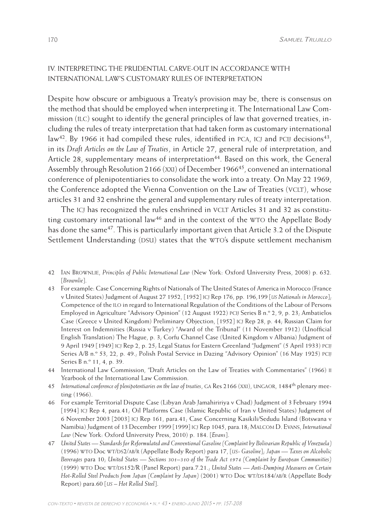# iV. Interpreting the Prudential Carve-Out in accordance with International Law's Customary Rules of Interpretation

Despite how obscure or ambiguous a Treaty's provision may be, there is consensus on the method that should be employed when interpreting it. The International Law Commission (ilc) sought to identify the general principles of law that governed treaties, including the rules of treaty interpretation that had taken form as customary international law<sup>42</sup>. By 1966 it had compiled these rules, identified in PCA, ICJ and PCIJ decisions<sup>43</sup>, in its *Draft Articles on the Law of Treaties*, in Article 27, general rule of interpretation, and Article 28, supplementary means of interpretation<sup>44</sup>. Based on this work, the General Assembly through Resolution 2166 (XXI) of December 1966<sup>45</sup>, convened an international conference of plenipotentiaries to consolidate the work into a treaty. On May 22 1969, the Conference adopted the Vienna Convention on the Law of Treaties (VCLT), whose articles 31 and 32 enshrine the general and supplementary rules of treaty interpretation.

The ICJ has recognized the rules enshrined in VCLT Articles 31 and 32 as constituting customary international law<sup>46</sup> and in the context of the WTO the Appellate Body has done the same<sup>47</sup>. This is particularly important given that Article 3.2 of the Dispute Settlement Understanding (DSU) states that the WTO's dispute settlement mechanism

- 43 For example: Case Concerning Rights of Nationals of The United States of America in Morocco (France v United States) Judgment of August 27 1952, [1952] icj Rep 176, pp. 196,199 [*us Nationals in Morocco*]; Competence of the ilo in regard to International Regulation of the Conditions of the Labour of Persons Employed in Agriculture "Advisory Opinion" (12 August 1922) pcij Series B n.º 2, 9, p. 23; Ambatielos Case (Greece v United Kingdom) Preliminary Objection, [1952] icj Rep 28, p. 44; Russian Claim for Interest on Indemnities (Russia v Turkey) "Award of the Tribunal" (11 November 1912) (Unofficial English Translation) The Hague, p. 3; Corfu Channel Case (United Kingdom v Albania) Judgment of 9 April 1949 [1949] icj Rep 2, p. 25; Legal Status for Eastern Greenland "Judgment" (5 April 1933) pcij Series A/B n.º 53, 22, p. 49.; Polish Postal Service in Dazing "Advisory Opinion" (16 May 1925) pcij Series B n.º 11, 4, p. 39.
- 44 International Law Commission, "Draft Articles on the Law of Treaties with Commentaries" (1966) ii Yearbook of the International Law Commission.

- 46 For example Territorial Dispute Case (Libyan Arab Jamahiririya v Chad) Judgment of 3 February 1994 [1994] icj Rep 4, para.41; Oil Platforms Case (Islamic Republic of Iran v United States) Judgment of 6 November 2003 [2003] icj Rep 161, para.41; Case Concerning Kasikili/Sedudu Island (Botswana v Namibia) Judgment of 13 December 1999 [1999] icj Rep 1045, para.18; Malcom D. Evans, *International Law* (New York: Oxford University Press, 2010) p. 184. [*Evans*].
- 47 *United States Standards for Reformulated and Conventional Gasoline (Complaint by Bolivarian Republic of Venezuela)* (1996) WTO Doc WT/DS2/AB/R (Appellate Body Report) para 17, [US- Gasoline]; *Japan* — Taxes on Alcoholic *Beverages* para 10; *United States — Sections 301–310 of the Trade Act 1974 (Complaint by European Communities)*  (1999) WTO Doc WT/DS152/R (Panel Report) para.7.21.; *United States - Anti-Dumping Measures on Certain* Hot-Rolled Steel Products from Japan (Complaint by Japan) (2001) WTO Doc WT/DS184/AB/R (Appellate Body Report) para.60 [*us – Hot Rolled Steel*].

<sup>42</sup> Ian Brownlie, *Principles of Public International Law* (New York: Oxford University Press, 2008) p. 632. [*Brownlie*].

<sup>45</sup> *International conference of plenipotentiaries on the law of treaties*, ga Res 2166 (xxi), ungaor, 1484th plenary meeting (1966).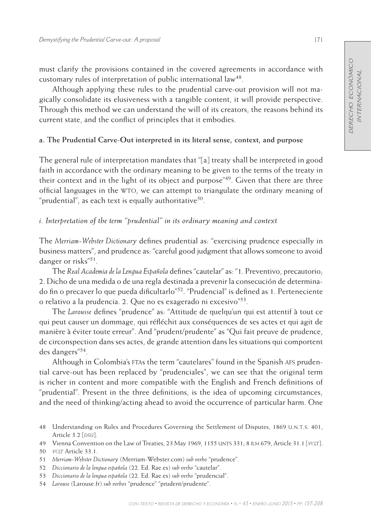must clarify the provisions contained in the covered agreements in accordance with customary rules of interpretation of public international law<sup>48</sup>.

Although applying these rules to the prudential carve-out provision will not magically consolidate its elusiveness with a tangible content, it will provide perspective. Through this method we can understand the will of its creators, the reasons behind its current state, and the conflict of principles that it embodies.

## **a. The Prudential Carve-Out interpreted in its literal sense, context, and purpose**

The general rule of interpretation mandates that "[a] treaty shall be interpreted in good faith in accordance with the ordinary meaning to be given to the terms of the treaty in their context and in the light of its object and purpose<sup>"49</sup>. Given that there are three official languages in the wto, we can attempt to triangulate the ordinary meaning of "prudential", as each text is equally authoritative<sup>50</sup>.

# *i. Interpretation of the term "prudential" in its ordinary meaning and context*

The *Merriam-Webster Dictionary* defines prudential as: "exercising prudence especially in business matters", and prudence as: "careful good judgment that allows someone to avoid danger or risks"51.

The *Real Academia de la Lengua Española* defines "cautelar" as: "1. Preventivo, precautorio; 2. Dicho de una medida o de una regla destinada a prevenir la consecución de determinado fin o precaver lo que pueda dificultarlo"52. "Prudencial" is defined as 1. Perteneciente o relativo a la prudencia. 2. Que no es exagerado ni excesivo"53.

The *Larousse* defines "prudence" as: "Attitude de quelqu'un qui est attentif à tout ce qui peut causer un dommage, qui réfléchit aux conséquences de ses actes et qui agit de manière à éviter toute erreur". And "prudent/prudente" as "Qui fait preuve de prudence, de circonspection dans ses actes, de grande attention dans les situations qui comportent des dangers"54.

Although in Colombia's ftas the term "cautelares" found in the Spanish afs prudential carve-out has been replaced by "prudenciales", we can see that the original term is richer in content and more compatible with the English and French definitions of "prudential". Present in the three definitions, is the idea of upcoming circumstances, and the need of thinking/acting ahead to avoid the occurrence of particular harm. One

48 Understanding on Rules and Procedures Governing the Settlement of Disputes, 1869 u.n.t.s. 401, Article 3.2 [*DSU*].

<sup>49</sup> Vienna Convention on the Law of Treaties, 23 May 1969, 1155 unts 331; 8 ilm 679, Article 31.1 [*vclt*].

<sup>50</sup> *vclt* Article 33.1.

<sup>51</sup> *Merriam-Webster Dictionary* (Merriam-Webster.com) *sub verbo* "prudence".

<sup>52</sup> *Diccionario de la lengua española* (22. Ed. Rae.es) *sub verbo* "cautelar".

<sup>53</sup> *Diccionario de la lengua española* (22. Ed. Rae.es) *sub verbo* "prudencial".

<sup>54</sup> *Larouse* (Larouse.fr) *sub verbos* "prudence" "prudent/prudente".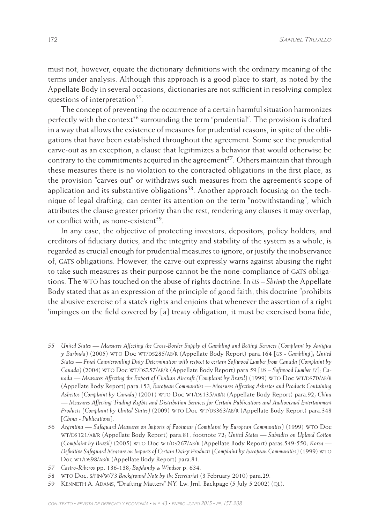must not, however, equate the dictionary definitions with the ordinary meaning of the terms under analysis. Although this approach is a good place to start, as noted by the Appellate Body in several occasions, dictionaries are not sufficient in resolving complex questions of interpretation<sup>55</sup>.

The concept of preventing the occurrence of a certain harmful situation harmonizes perfectly with the context<sup>56</sup> surrounding the term "prudential". The provision is drafted in a way that allows the existence of measures for prudential reasons, in spite of the obligations that have been established throughout the agreement. Some see the prudential carve-out as an exception, a clause that legitimizes a behavior that would otherwise be contrary to the commitments acquired in the agreement<sup>57</sup>. Others maintain that through these measures there is no violation to the contracted obligations in the first place, as the provision "carves-out" or withdraws such measures from the agreement's scope of application and its substantive obligations<sup>58</sup>. Another approach focusing on the technique of legal drafting, can center its attention on the term "notwithstanding", which attributes the clause greater priority than the rest, rendering any clauses it may overlap, or conflict with, as none-existent<sup>59</sup>.

In any case, the objective of protecting investors, depositors, policy holders, and creditors of fiduciary duties, and the integrity and stability of the system as a whole, is regarded as crucial enough for prudential measures to ignore, or justify the inobservance of, gats obligations. However, the carve-out expressly warns against abusing the right to take such measures as their purpose cannot be the none-compliance of GATS obligations. The wto has touched on the abuse of rights doctrine. In *us – Shrimp* the Appellate Body stated that as an expression of the principle of good faith, this doctrine "prohibits the abusive exercise of a state's rights and enjoins that whenever the assertion of a right 'impinges on the field covered by [a] treaty obligation, it must be exercised bona fide,

- 57 *Castro-Riberos* pp. 136-138; *Bogdandy & Windsor* p. 634.
- 58 wto Doc, s/fin/w/73 *Background Note by the Secretariat* (3 February 2010) para.29.
- 59 Kenneth A. Adams, "Drafting Matters" NY. Lw. Jrnl. Backpage (5 July 5 2002) (ql).

<sup>55</sup> *United States — Measures Affecting the Cross-Border Supply of Gambling and Betting Services (Complaint by Antigua y* Barbuda) (2005) WTO Doc WT/DS285/AB/R (Appellate Body Report) para.164 [*us* - Gambling]; United *States — Final Countervailing Duty Determination with respect to certain Softwood Lumber from Canada (Complaint by*  Canada) (2004) WTO Doc WT/DS257/AB/R (Appellate Body Report) para.59 [US - Softwood Lumber IV]; Canada — Measures Affecting the Export of Civilian Aircraft (Complaint by Brazil) (1999) WTO Doc WT/DS70/AB/R (Appellate Body Report) para.153; *European Communities — Measures Affecting Asbestos and Products Containing Asbestos (Complaint by Canada)* (2001) wto Doc wt/ds135/ab/r (Appellate Body Report) para.92; *China — Measures Affecting Trading Rights and Distribution Services for Certain Publications and Audiovisual Entertainment Products (Complaint by United States)* (2009) WTO Doc WT/DS363/AB/R (Appellate Body Report) para.348 [*China - Publications*].

<sup>56</sup> *Argentina — Safeguard Measures on Imports of Footwear (Complaint by European Communities)* (1999) wto Doc wt/ds121/ab/r (Appellate Body Report) para.81, footnote 72; *United States — Subsidies on Upland Cotton (Complaint by Brazil)* (2005) WTO Doc WT/DS267/AB/R (Appellate Body Report) paras.549-550; *Korea* — *Definitive Safeguard Measure on Imports of Certain Dairy Products (Complaint by European Communities)* (1999) wto Doc WT/DS98/AB/R (Appellate Body Report) para.81.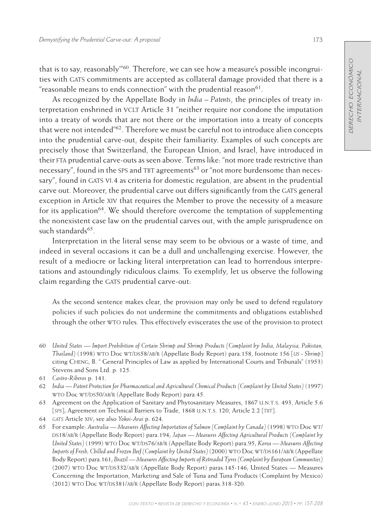that is to say, reasonably'"60. Therefore, we can see how a measure's possible incongruities with GATS commitments are accepted as collateral damage provided that there is a "reasonable means to ends connection" with the prudential reason $61$ .

As recognized by the Appellate Body in *India – Patents*, the principles of treaty interpretation enshrined in VCLT Article 31 "neither require nor condone the imputation into a treaty of words that are not there or the importation into a treaty of concepts that were not intended"62. Therefore we must be careful not to introduce alien concepts into the prudential carve-out, despite their familiarity. Examples of such concepts are precisely those that Switzerland, the European Union, and Israel, have introduced in their fta prudential carve-outs as seen above. Terms like: "not more trade restrictive than necessary", found in the SPS and TBT agreements<sup>63</sup> or "not more burdensome than necessary", found in GATS VI.4 as criteria for domestic regulation, are absent in the prudential carve out. Moreover, the prudential carve out differs significantly from the GATS general exception in Article xiv that requires the Member to prove the necessity of a measure for its application<sup>64</sup>. We should therefore overcome the temptation of supplementing the nonexistent case law on the prudential carves out, with the ample jurisprudence on such standards<sup>65</sup>.

Interpretation in the literal sense may seem to be obvious or a waste of time, and indeed in several occasions it can be a dull and unchallenging exercise. However, the result of a mediocre or lacking literal interpretation can lead to horrendous interpretations and astoundingly ridiculous claims. To exemplify, let us observe the following claim regarding the GATS prudential carve-out:

As the second sentence makes clear, the provision may only be used to defend regulatory policies if such policies do not undermine the commitments and obligations established through the other wto rules. This effectively eviscerates the use of the provision to protect

- 60 *United States Import Prohibition of Certain Shrimp and Shrimp Products (Complaint by India, Malaysia, Pakistan, Thailand*) (1998) WTO Doc WT/DS58/AB/R (Appellate Body Report) para.158, footnote 156 [US - Shrimp] citing Cheng, B. " General Principles of Law as applied by International Courts and Tribunals" (1953) Stevens and Sons Ltd. p. 125.
- 61 *Castro-Riberos* p. 141.
- 62 *India Patent Protection for Pharmaceutical and Agricultural Chemical Products (Complaint by United States)* (1997) WTO Doc WT/DS50/AB/R (Appellate Body Report) para.45.
- 63 Agreement on the Application of Sanitary and Phytosanitary Measures, 1867 u.n.t.s. 493, Article 5.6 [*SPS*]; Agreement on Technical Barriers to Trade, 1868 U.N.T.S. 120, Article 2.2 [*TBT*].
- 64 *gats* Article xiv; see also *Yokoi-Arai* p. 624.

<sup>65</sup> For example: *Australia — Measures Affecting Importation of Salmon (Complaint by Canada)* (1998) wto Doc wt/ DS18/AB/R (Appellate Body Report) para.194; *Japan — Measures Affecting Agricultural Products (Complaint by United States*) (1999) WTO Doc WT/DS76/AB/R (Appellate Body Report) para.95; *Korea* — Measures Affecting *Imports of Fresh, Chilled and Frozen Beef (Complaint by United States)* (2000) WTO Doc WT/DS161/AB/R (Appellate Body Report) para.161; *Brazil — Measures Affecting Imports of Retreaded Tyres (Complaint by European Communities)* (2007) WTO Doc WT/DS332/AB/R (Appellate Body Report) paras.145-146; United States — Measures Concerning the Importation, Marketing and Sale of Tuna and Tuna Products (Complaint by Mexico) (2012) WTO Doc WT/DS381/AB/R (Appellate Body Report) paras.318-320.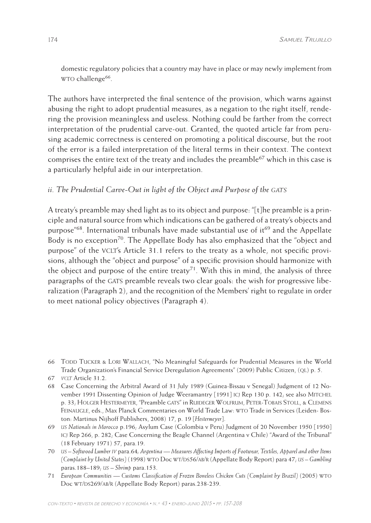domestic regulatory policies that a country may have in place or may newly implement from w<sub>TO</sub> challenge<sup>66</sup>.

The authors have interpreted the final sentence of the provision, which warns against abusing the right to adopt prudential measures, as a negation to the right itself, rendering the provision meaningless and useless. Nothing could be farther from the correct interpretation of the prudential carve-out. Granted, the quoted article far from perusing academic correctness is centered on promoting a political discourse, but the root of the error is a failed interpretation of the literal terms in their context. The context comprises the entire text of the treaty and includes the preamble<sup>67</sup> which in this case is a particularly helpful aide in our interpretation.

# *ii. The Prudential Carve-Out in light of the Object and Purpose of the GATS*

A treaty's preamble may shed light as to its object and purpose: "[t]he preamble is a principle and natural source from which indications can be gathered of a treaty's objects and purpose"<sup>68</sup>. International tribunals have made substantial use of it<sup>69</sup> and the Appellate Body is no exception<sup>70</sup>. The Appellate Body has also emphasized that the "object and purpose" of the VCLT's Article 31.1 refers to the treaty as a whole, not specific provisions, although the "object and purpose" of a specific provision should harmonize with the object and purpose of the entire treaty<sup>71</sup>. With this in mind, the analysis of three paragraphs of the GATS preamble reveals two clear goals: the wish for progressive liberalization (Paragraph 2), and the recognition of the Members' right to regulate in order to meet national policy objectives (Paragraph 4).

68 Case Concerning the Arbitral Award of 31 July 1989 (Guinea-Bissau v Senegal) Judgment of 12 November 1991 Dissenting Opinion of Judge Weeramantry [1991] ICJ Rep 130 p. 142; see also MITCHEL p. 33; Holger Hestermeyer, "Preamble gats" in Ruideger Wolfrum, Peter-Tobais Stoll, & Clemens Feinaugle, eds., Max Planck Commentaries on World Trade Law: wto Trade in Services (Leiden- Boston: Martinus Nijhoff Publishers, 2008) 17, p. 19 [*Hestermeyer*].

69 *us Nationals in Morocco* p.196; Asylum Case (Colombia v Peru) Judgment of 20 November 1950 [1950] icj Rep 266, p. 282; Case Concerning the Beagle Channel (Argentina v Chile) "Award of the Tribunal" (18 February 1971) 57, para.19.

- 70 *us Softwood Lumber iv* para.64*; Argentina Measures Affecting Imports of Footwear, Textiles, Apparel and other Items (Complaint by United States)* (1998) WTO Doc WT/DS56/AB/R (Appellate Body Report) para 47; *us* – Gambling paras.188–189; *us – Shrimp* para.153.
- 71 *European Communities Customs Classification of Frozen Boneless Chicken Cuts (Complaint by Brazil)* (2005) wto Doc WT/DS269/AB/R (Appellate Body Report) paras.238-239.

<sup>66</sup> Todd Tucker & Lori Wallach, "No Meaningful Safeguards for Prudential Measures in the World Trade Organization's Financial Service Deregulation Agreements" (2009) Public Citizen, (QL) p. 5.

<sup>67</sup> *vclt* Article 31.2.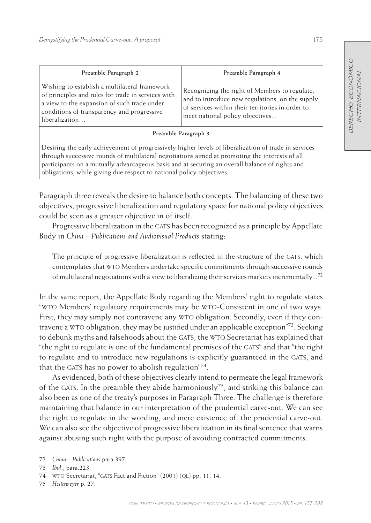| Preamble Paragraph 2                                                                                                                                                                                                                                                                                     | Preamble Paragraph 4                                                                                                                                                                    |  |  |  |  |
|----------------------------------------------------------------------------------------------------------------------------------------------------------------------------------------------------------------------------------------------------------------------------------------------------------|-----------------------------------------------------------------------------------------------------------------------------------------------------------------------------------------|--|--|--|--|
| Wishing to establish a multilateral framework<br>of principles and rules for trade in services with<br>a view to the expansion of such trade under<br>conditions of transparency and progressive<br>liberalization                                                                                       | Recognizing the right of Members to regulate,<br>and to introduce new regulations, on the supply<br>of services within their territories in order to<br>meet national policy objectives |  |  |  |  |
| Preamble Paragraph 3                                                                                                                                                                                                                                                                                     |                                                                                                                                                                                         |  |  |  |  |
| Desiring the early achievement of progressively higher levels of liberalization of trade in services<br>through successive rounds of multilateral negotiations aimed at promoting the interests of all<br>participants on a mutually advantageous basis and at securing an overall balance of rights and |                                                                                                                                                                                         |  |  |  |  |

Paragraph three reveals the desire to balance both concepts. The balancing of these two objectives, progressive liberalization and regulatory space for national policy objectives could be seen as a greater objective in of itself.

obligations, while giving due respect to national policy objectives.

Progressive liberalization in the GATS has been recognized as a principle by Appellate Body in *China – Publications and Audiovisual Products* stating:

The principle of progressive liberalization is reflected in the structure of the GATS, which contemplates that wto Members undertake specific commitments through successive rounds of multilateral negotiations with a view to liberalizing their services markets incrementally...<sup>72</sup>

In the same report, the Appellate Body regarding the Members' right to regulate states "wto Members' regulatory requirements may be wto-Consistent in one of two ways. First, they may simply not contravene any WTO obligation. Secondly, even if they contravene a WTO obligation, they may be justified under an applicable exception"<sup>73</sup>. Seeking to debunk myths and falsehoods about the GATS, the WTO Secretariat has explained that "the right to regulate is one of the fundamental premises of the GATS" and that "the right to regulate and to introduce new regulations is explicitly guaranteed in the GATS, and that the GATS has no power to abolish regulation<sup> $74$ </sup>.

As evidenced, both of these objectives clearly intend to permeate the legal framework of the GATS. In the preamble they abide harmoniously<sup>75</sup>, and striking this balance can also been as one of the treaty's purposes in Paragraph Three. The challenge is therefore maintaining that balance in our interpretation of the prudential carve-out. We can see the right to regulate in the wording, and mere existence of, the prudential carve-out. We can also see the objective of progressive liberalization in its final sentence that warns against abusing such right with the purpose of avoiding contracted commitments.

<sup>72</sup> *China – Publications* para.397.

<sup>73</sup> *Ibid*., para.223.

<sup>74</sup> WTO Secretariat, "GATS Fact and Fiction" (2001) (QL) pp. 11, 14.

<sup>75</sup> *Hestermeyer* p. 27.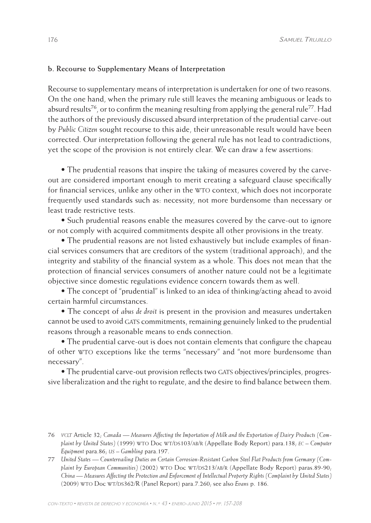### **b. Recourse to Supplementary Means of Interpretation**

Recourse to supplementary means of interpretation is undertaken for one of two reasons. On the one hand, when the primary rule still leaves the meaning ambiguous or leads to absurd results<sup>76</sup>, or to confirm the meaning resulting from applying the general rule<sup>77</sup>. Had the authors of the previously discussed absurd interpretation of the prudential carve-out by *Public Citizen* sought recourse to this aide, their unreasonable result would have been corrected. Our interpretation following the general rule has not lead to contradictions, yet the scope of the provision is not entirely clear. We can draw a few assertions:

• The prudential reasons that inspire the taking of measures covered by the carveout are considered important enough to merit creating a safeguard clause specifically for financial services, unlike any other in the WTO context, which does not incorporate frequently used standards such as: necessity, not more burdensome than necessary or least trade restrictive tests.

• Such prudential reasons enable the measures covered by the carve-out to ignore or not comply with acquired commitments despite all other provisions in the treaty.

• The prudential reasons are not listed exhaustively but include examples of financial services consumers that are creditors of the system (traditional approach), and the integrity and stability of the financial system as a whole. This does not mean that the protection of financial services consumers of another nature could not be a legitimate objective since domestic regulations evidence concern towards them as well.

• The concept of "prudential" is linked to an idea of thinking/acting ahead to avoid certain harmful circumstances.

• The concept of *abus de droit* is present in the provision and measures undertaken cannot be used to avoid GATS commitments, remaining genuinely linked to the prudential reasons through a reasonable means to ends connection.

• The prudential carve-out is does not contain elements that configure the chapeau of other wto exceptions like the terms "necessary" and "not more burdensome than necessary".

• The prudential carve-out provision reflects two GATS objectives/principles, progressive liberalization and the right to regulate, and the desire to find balance between them.

<sup>76</sup> *vclt* Article 32; *Canada — Measures Affecting the Importation of Milk and the Exportation of Dairy Products (Complaint by United States*) (1999) WTO Doc WT/DS103/AB/R (Appellate Body Report) para.138; *EC* – Computer *Equipment* para.86; *us – Gambling* para.197.

<sup>77</sup> *United States — Countervailing Duties on Certain Corrosion-Resistant Carbon Steel Flat Products from Germany (Com*plaint by European Communities) (2002) WTO Doc WT/DS213/AB/R (Appellate Body Report) paras.89-90; *China — Measures Affecting the Protection and Enforcement of Intellectual Property Rights (Complaint by United States)* (2009) wto Doc wt/ds362/R (Panel Report) para.7.260; see also *Evans* p. 186.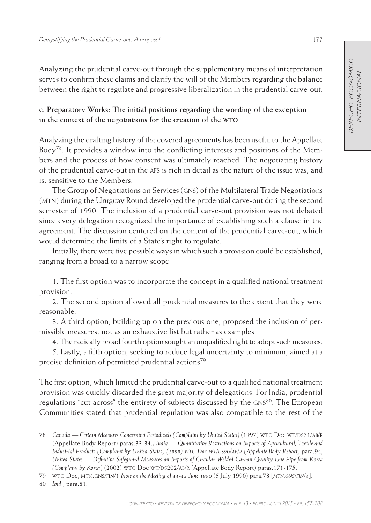Analyzing the prudential carve-out through the supplementary means of interpretation serves to confirm these claims and clarify the will of the Members regarding the balance between the right to regulate and progressive liberalization in the prudential carve-out.

# **c. Preparatory Works: The initial positions regarding the wording of the exception in the context of the negotiations for the creation of the wto**

Analyzing the drafting history of the covered agreements has been useful to the Appellate Body<sup>78</sup>. It provides a window into the conflicting interests and positions of the Members and the process of how consent was ultimately reached. The negotiating history of the prudential carve-out in the afs is rich in detail as the nature of the issue was, and is, sensitive to the Members.

The Group of Negotiations on Services (gns) of the Multilateral Trade Negotiations (mtn) during the Uruguay Round developed the prudential carve-out during the second semester of 1990. The inclusion of a prudential carve-out provision was not debated since every delegation recognized the importance of establishing such a clause in the agreement. The discussion centered on the content of the prudential carve-out, which would determine the limits of a State's right to regulate.

Initially, there were five possible ways in which such a provision could be established, ranging from a broad to a narrow scope:

1. The first option was to incorporate the concept in a qualified national treatment provision.

2. The second option allowed all prudential measures to the extent that they were reasonable.

3. A third option, building up on the previous one, proposed the inclusion of permissible measures, not as an exhaustive list but rather as examples.

4. The radically broad fourth option sought an unqualified right to adopt such measures.

5. Lastly, a fifth option, seeking to reduce legal uncertainty to minimum, aimed at a precise definition of permitted prudential actions<sup>79</sup>.

The first option, which limited the prudential carve-out to a qualified national treatment provision was quickly discarded the great majority of delegations. For India, prudential regulations "cut across" the entirety of subjects discussed by the GNS<sup>80</sup>. The European Communities stated that prudential regulation was also compatible to the rest of the

80 *Ibid*., para.81.

<sup>78</sup> Canada — Certain Measures Concerning Periodicals (Complaint by United States) (1997) WTO Doc WT/DS31/AB/R (Appellate Body Report) paras.33-34.; *India — Quantitative Restrictions on Imports of Agricultural, Textile and Industrial Products (Complaint by United States) (1999) WTO Doc WT/DS90/AB/R (Appellate Body Report) para.94; United States — Definitive Safeguard Measures on Imports of Circular Welded Carbon Quality Line Pipe from Korea (Complaint by Korea)* (2002) WTO Doc WT/DS202/AB/R (Appellate Body Report) paras.171-175.

<sup>79</sup> wto Doc, mtn.gns/fin/1 *Note on the Meeting of 11-13 June 1990* (5 July 1990) para.78 [*mtn.gns/fin/1*].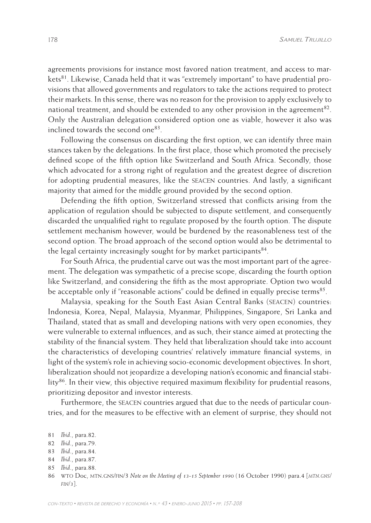agreements provisions for instance most favored nation treatment, and access to markets $81$ . Likewise, Canada held that it was "extremely important" to have prudential provisions that allowed governments and regulators to take the actions required to protect their markets. In this sense, there was no reason for the provision to apply exclusively to national treatment, and should be extended to any other provision in the agreement<sup>82</sup>. Only the Australian delegation considered option one as viable, however it also was inclined towards the second one83.

Following the consensus on discarding the first option, we can identify three main stances taken by the delegations. In the first place, those which promoted the precisely defined scope of the fifth option like Switzerland and South Africa. Secondly, those which advocated for a strong right of regulation and the greatest degree of discretion for adopting prudential measures, like the seacen countries. And lastly, a significant majority that aimed for the middle ground provided by the second option.

Defending the fifth option, Switzerland stressed that conflicts arising from the application of regulation should be subjected to dispute settlement, and consequently discarded the unqualified right to regulate proposed by the fourth option. The dispute settlement mechanism however, would be burdened by the reasonableness test of the second option. The broad approach of the second option would also be detrimental to the legal certainty increasingly sought for by market participants  $84$ .

For South Africa, the prudential carve out was the most important part of the agreement. The delegation was sympathetic of a precise scope, discarding the fourth option like Switzerland, and considering the fifth as the most appropriate. Option two would be acceptable only if "reasonable actions" could be defined in equally precise terms<sup>85</sup>.

Malaysia, speaking for the South East Asian Central Banks (seacen) countries: Indonesia, Korea, Nepal, Malaysia, Myanmar, Philippines, Singapore, Sri Lanka and Thailand, stated that as small and developing nations with very open economies, they were vulnerable to external influences, and as such, their stance aimed at protecting the stability of the financial system. They held that liberalization should take into account the characteristics of developing countries' relatively immature financial systems, in light of the system's role in achieving socio-economic development objectives. In short, liberalization should not jeopardize a developing nation's economic and financial stability $^{86}$ . In their view, this objective required maximum flexibility for prudential reasons, prioritizing depositor and investor interests.

Furthermore, the SEACEN countries argued that due to the needs of particular countries, and for the measures to be effective with an element of surprise, they should not

<sup>81</sup> *Ibid*., para.82.

<sup>82</sup> *Ibid*., para.79.

<sup>83</sup> *Ibid*., para.84.

<sup>84</sup> *Ibid*., para.87.

<sup>85</sup> *Ibid*., para.88.

<sup>86</sup> wto Doc, mtn.gns/fin/3 *Note on the Meeting of 13-15 September 1990* (16 October 1990) para.4 [*mtn.gns/ fin/3*].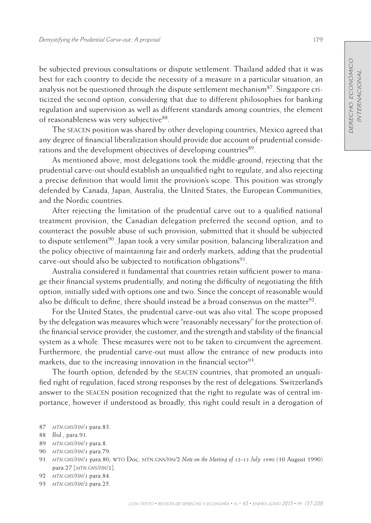be subjected previous consultations or dispute settlement. Thailand added that it was best for each country to decide the necessity of a measure in a particular situation, an analysis not be questioned through the dispute settlement mechanism<sup>87</sup>. Singapore criticized the second option, considering that due to different philosophies for banking regulation and supervision as well as different standards among countries, the element of reasonableness was very subjective<sup>88</sup>.

The seacen position was shared by other developing countries, Mexico agreed that any degree of financial liberalization should provide due account of prudential considerations and the development objectives of developing countries<sup>89</sup>.

As mentioned above, most delegations took the middle-ground, rejecting that the prudential carve-out should establish an unqualified right to regulate, and also rejecting a precise definition that would limit the provision's scope. This position was strongly defended by Canada, Japan, Australia, the United States, the European Communities, and the Nordic countries.

After rejecting the limitation of the prudential carve out to a qualified national treatment provision, the Canadian delegation preferred the second option, and to counteract the possible abuse of such provision, submitted that it should be subjected to dispute settlement<sup>90</sup>. Japan took a very similar position, balancing liberalization and the policy objective of maintaining fair and orderly markets, adding that the prudential carve-out should also be subjected to notification obligations<sup>91</sup>.

Australia considered it fundamental that countries retain sufficient power to manage their financial systems prudentially, and noting the difficulty of negotiating the fifth option, initially sided with options one and two. Since the concept of reasonable would also be difficult to define, there should instead be a broad consensus on the matter<sup>92</sup>.

For the United States, the prudential carve-out was also vital. The scope proposed by the delegation was measures which were "reasonably necessary" for the protection of: the financial service provider, the customer, and the strength and stability of the financial system as a whole. These measures were not to be taken to circumvent the agreement. Furthermore, the prudential carve-out must allow the entrance of new products into markets, due to the increasing innovation in the financial sector<sup>93</sup>.

The fourth option, defended by the seacen countries, that promoted an unqualified right of regulation, faced strong responses by the rest of delegations. Switzerland's answer to the SEACEN position recognized that the right to regulate was of central importance, however if understood as broadly, this right could result in a derogation of

- 89 *mtn.gns/fin/3* para.8.
- 90 *mtn.gns/fin/1* para.79.
- 91 *mtn.gns/fin/1* para.80; wto Doc, mtn.gns/fin/2 *Note on the Meeting of 12-13 July 1990* (10 August 1990) para.27 [*mtn.gns/fin/2*].
- 92 *mtn.gns/fin/1* para.84.
- 93 *mtn.gns/fin/2* para.25.

<sup>87</sup> *mtn.gns/fin/1* para.83.

<sup>88</sup> *Ibid*., para.91.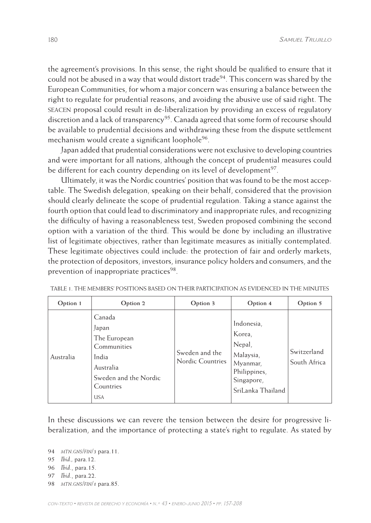the agreement's provisions. In this sense, the right should be qualified to ensure that it could not be abused in a way that would distort trade<sup>94</sup>. This concern was shared by the European Communities, for whom a major concern was ensuring a balance between the right to regulate for prudential reasons, and avoiding the abusive use of said right. The seacen proposal could result in de-liberalization by providing an excess of regulatory discretion and a lack of transparency<sup>95</sup>. Canada agreed that some form of recourse should be available to prudential decisions and withdrawing these from the dispute settlement mechanism would create a significant loophole<sup>96</sup>.

Japan added that prudential considerations were not exclusive to developing countries and were important for all nations, although the concept of prudential measures could be different for each country depending on its level of development<sup>97</sup>.

Ultimately, it was the Nordic countries' position that was found to be the most acceptable. The Swedish delegation, speaking on their behalf, considered that the provision should clearly delineate the scope of prudential regulation. Taking a stance against the fourth option that could lead to discriminatory and inappropriate rules, and recognizing the difficulty of having a reasonableness test, Sweden proposed combining the second option with a variation of the third. This would be done by including an illustrative list of legitimate objectives, rather than legitimate measures as initially contemplated. These legitimate objectives could include: the protection of fair and orderly markets, the protection of depositors, investors, insurance policy holders and consumers, and the prevention of inappropriate practices<sup>98</sup>.

| Option 1  | Option 2                                                                                                                 | Option 3                                  | Option 4                                                                                                   | Option 5                    |
|-----------|--------------------------------------------------------------------------------------------------------------------------|-------------------------------------------|------------------------------------------------------------------------------------------------------------|-----------------------------|
| Australia | Canada<br>Japan<br>The European<br>Communities<br>India<br>Australia<br>Sweden and the Nordic<br>Countries<br><b>USA</b> | Sweden and the<br><b>Nordic Countries</b> | Indonesia,<br>Korea,<br>Nepal,<br>Malaysia,<br>Myanmar,<br>Philippines,<br>Singapore,<br>SriLanka Thailand | Switzerland<br>South Africa |

Table 1. The Members' positions based on their participation as evidenced in the Minutes

In these discussions we can revere the tension between the desire for progressive liberalization, and the importance of protecting a state's right to regulate. As stated by

- 95 *Ibid.,* para.12.
- 96 *Ibid*., para.15.
- 97 *Ibid*., para.22.
- 98 *mtn.gns/fin/1* para.85.

<sup>94</sup> *mtn.gns/fin/3* para.11.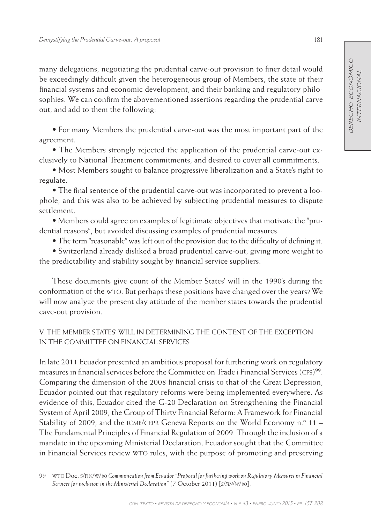many delegations, negotiating the prudential carve-out provision to finer detail would be exceedingly difficult given the heterogeneous group of Members, the state of their financial systems and economic development, and their banking and regulatory philosophies. We can confirm the abovementioned assertions regarding the prudential carve out, and add to them the following:

• For many Members the prudential carve-out was the most important part of the agreement.

• The Members strongly rejected the application of the prudential carve-out exclusively to National Treatment commitments, and desired to cover all commitments.

• Most Members sought to balance progressive liberalization and a State's right to regulate.

• The final sentence of the prudential carve-out was incorporated to prevent a loophole, and this was also to be achieved by subjecting prudential measures to dispute settlement.

• Members could agree on examples of legitimate objectives that motivate the "prudential reasons", but avoided discussing examples of prudential measures.

• The term "reasonable" was left out of the provision due to the difficulty of defining it.

• Switzerland already disliked a broad prudential carve-out, giving more weight to the predictability and stability sought by financial service suppliers.

These documents give count of the Member States' will in the 1990's during the conformation of the wto. But perhaps these positions have changed over the years? We will now analyze the present day attitude of the member states towards the prudential cave-out provision.

# V. The Member States' will in determining the content of the exception in the Committee on Financial Services

In late 2011 Ecuador presented an ambitious proposal for furthering work on regulatory measures in financial services before the Committee on Trade i Financial Services (CFS)<sup>99</sup>. Comparing the dimension of the 2008 financial crisis to that of the Great Depression, Ecuador pointed out that regulatory reforms were being implemented everywhere. As evidence of this, Ecuador cited the G-20 Declaration on Strengthening the Financial System of April 2009, the Group of Thirty Financial Reform: A Framework for Financial Stability of 2009, and the ICMB/CEPR Geneva Reports on the World Economy n.º 11 – The Fundamental Principles of Financial Regulation of 2009. Through the inclusion of a mandate in the upcoming Ministerial Declaration, Ecuador sought that the Committee in Financial Services review wto rules, with the purpose of promoting and preserving

99 wto Doc, s/fin/w/*80 Communication from Ecuador "Proposal for furthering work on Regulatory Measures in Financial Services for inclusion in the Ministerial Declaration"* (7 October 2011) [*s/fin/w/80*].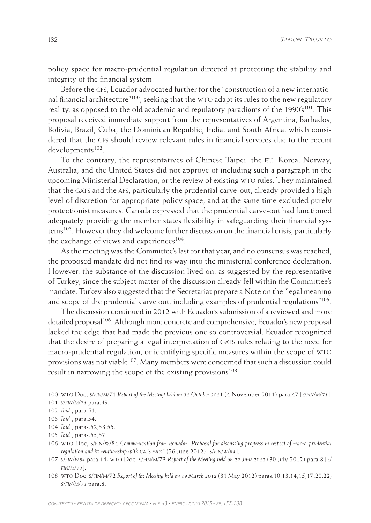policy space for macro-prudential regulation directed at protecting the stability and integrity of the financial system.

Before the cfs, Ecuador advocated further for the "construction of a new international financial architecture"<sup>100</sup>, seeking that the WTO adapt its rules to the new regulatory reality, as opposed to the old academic and regulatory paradigms of the 1990's<sup>101</sup>. This proposal received immediate support from the representatives of Argentina, Barbados, Bolivia, Brazil, Cuba, the Dominican Republic, India, and South Africa, which considered that the cfs should review relevant rules in financial services due to the recent developments<sup>102</sup>.

To the contrary, the representatives of Chinese Taipei, the eu, Korea, Norway, Australia, and the United States did not approve of including such a paragraph in the upcoming Ministerial Declaration, or the review of existing WTO rules. They maintained that the GATS and the AFS, particularly the prudential carve-out, already provided a high level of discretion for appropriate policy space, and at the same time excluded purely protectionist measures. Canada expressed that the prudential carve-out had functioned adequately providing the member states flexibility in safeguarding their financial systems<sup>103</sup>. However they did welcome further discussion on the financial crisis, particularly the exchange of views and experiences<sup>104</sup>.

As the meeting was the Committee's last for that year, and no consensus was reached, the proposed mandate did not find its way into the ministerial conference declaration. However, the substance of the discussion lived on, as suggested by the representative of Turkey, since the subject matter of the discussion already fell within the Committee's mandate. Turkey also suggested that the Secretariat prepare a Note on the "legal meaning and scope of the prudential carve out, including examples of prudential regulations"105.

The discussion continued in 2012 with Ecuador's submission of a reviewed and more detailed proposal<sup>106</sup>. Although more concrete and comprehensive, Ecuador's new proposal lacked the edge that had made the previous one so controversial. Ecuador recognized that the desire of preparing a legal interpretation of GATS rules relating to the need for macro-prudential regulation, or identifying specific measures within the scope of wto provisions was not viable<sup>107</sup>. Many members were concerned that such a discussion could result in narrowing the scope of the existing provisions<sup>108</sup>.

104 *Ibid*., paras.52,53,55.

- 106 wto Doc, s/fin/w/84 *Communication from Ecuador "Proposal for discussing progress in respect of macro-prudential regulation and its relationship with GATS rules"* (26 June 2012) [*s/FIN/W/84*].
- 107 *s/fin/w84* para.14; wto Doc, s/fin/m/73 *Report of the Meeting held on 27 June 2012* (30 July 2012) para.8 [*s/ fin/m/73*].
- 108 wto Doc, s/fin/m/72 *Report of the Meeting held on 19 March 2012* (31 May 2012) paras.10,13,14,15,17,20,22; *s/fin/m/73* para.8.

<sup>100</sup> wto Doc, *s/fin/m*/71 *Report of the Meeting held on 31 October 201*1 (4 November 2011) para.47 [*s/fin/m/71*].

<sup>101</sup> *s/fin/m/71* para.49.

<sup>102</sup> *Ibid*., para.51.

<sup>103</sup> *Ibid*., para.54.

<sup>105</sup> *Ibid*., paras.55,57.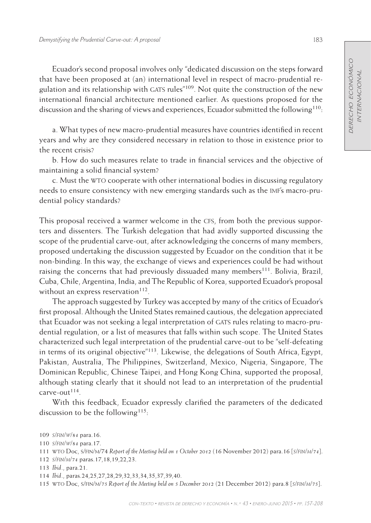Ecuador's second proposal involves only "dedicated discussion on the steps forward that have been proposed at (an) international level in respect of macro-prudential regulation and its relationship with GATS rules $"109$ . Not quite the construction of the new international financial architecture mentioned earlier. As questions proposed for the discussion and the sharing of views and experiences, Ecuador submitted the following<sup>110</sup>:

a. What types of new macro-prudential measures have countries identified in recent years and why are they considered necessary in relation to those in existence prior to the recent crisis?

b. How do such measures relate to trade in financial services and the objective of maintaining a solid financial system?

c. Must the wto cooperate with other international bodies in discussing regulatory needs to ensure consistency with new emerging standards such as the imf's macro-prudential policy standards?

This proposal received a warmer welcome in the cfs, from both the previous supporters and dissenters. The Turkish delegation that had avidly supported discussing the scope of the prudential carve-out, after acknowledging the concerns of many members, proposed undertaking the discussion suggested by Ecuador on the condition that it be non-binding. In this way, the exchange of views and experiences could be had without raising the concerns that had previously dissuaded many members<sup>111</sup>. Bolivia, Brazil, Cuba, Chile, Argentina, India, and The Republic of Korea, supported Ecuador's proposal without an express reservation<sup>112</sup>.

The approach suggested by Turkey was accepted by many of the critics of Ecuador's first proposal. Although the United States remained cautious, the delegation appreciated that Ecuador was not seeking a legal interpretation of GATS rules relating to macro-prudential regulation, or a list of measures that falls within such scope. The United States characterized such legal interpretation of the prudential carve-out to be "self-defeating in terms of its original objective"113. Likewise, the delegations of South Africa, Egypt, Pakistan, Australia, The Philippines, Switzerland, Mexico, Nigeria, Singapore, The Dominican Republic, Chinese Taipei, and Hong Kong China, supported the proposal, although stating clearly that it should not lead to an interpretation of the prudential  $c$ arve-out $^{114}$ .

With this feedback, Ecuador expressly clarified the parameters of the dedicated discussion to be the following<sup>115</sup>:

<sup>109</sup> *s/fin/w/84* para.16.

<sup>110</sup> *s/fin/w/84* para.17.

<sup>111</sup> wto Doc, s/fin/m/74 *Report of the Meeting held on 1 October 2012* (16 November 2012) para.16 [*s/fin/m/74*].

<sup>112</sup> *s/fin/m/74* paras.17,18,19,22,23.

<sup>113</sup> *Ibid*., para.21.

<sup>114</sup> *Ibid*., paras.24,25,27,28,29,32,33,34,35,37,39,40.

<sup>115</sup> wto Doc, s/fin/m/*75 Report of the Meeting held on 5 December 2012* (21 December 2012) para.8 [*s/fin/m/75*].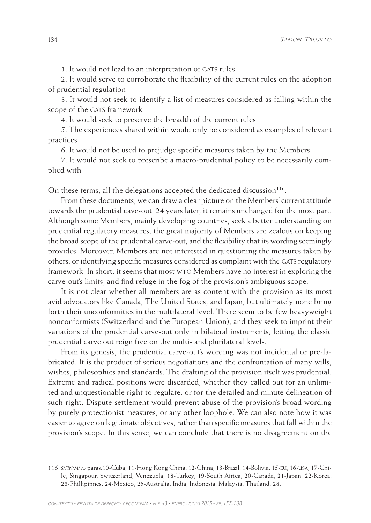1. It would not lead to an interpretation of GATS rules

2. It would serve to corroborate the flexibility of the current rules on the adoption of prudential regulation

3. It would not seek to identify a list of measures considered as falling within the scope of the GATS framework

4. It would seek to preserve the breadth of the current rules

5. The experiences shared within would only be considered as examples of relevant practices

6. It would not be used to prejudge specific measures taken by the Members

7. It would not seek to prescribe a macro-prudential policy to be necessarily complied with

On these terms, all the delegations accepted the dedicated discussion $116$ .

From these documents, we can draw a clear picture on the Members' current attitude towards the prudential cave-out. 24 years later, it remains unchanged for the most part. Although some Members, mainly developing countries, seek a better understanding on prudential regulatory measures, the great majority of Members are zealous on keeping the broad scope of the prudential carve-out, and the flexibility that its wording seemingly provides. Moreover, Members are not interested in questioning the measures taken by others, or identifying specific measures considered as complaint with the GATS regulatory framework. In short, it seems that most wto Members have no interest in exploring the carve-out's limits, and find refuge in the fog of the provision's ambiguous scope.

It is not clear whether all members are as content with the provision as its most avid advocators like Canada, The United States, and Japan, but ultimately none bring forth their unconformities in the multilateral level. There seem to be few heavyweight nonconformists (Switzerland and the European Union), and they seek to imprint their variations of the prudential carve-out only in bilateral instruments, letting the classic prudential carve out reign free on the multi- and plurilateral levels.

From its genesis, the prudential carve-out's wording was not incidental or pre-fabricated. It is the product of serious negotiations and the confrontation of many wills, wishes, philosophies and standards. The drafting of the provision itself was prudential. Extreme and radical positions were discarded, whether they called out for an unlimited and unquestionable right to regulate, or for the detailed and minute delineation of such right. Dispute settlement would prevent abuse of the provision's broad wording by purely protectionist measures, or any other loophole. We can also note how it was easier to agree on legitimate objectives, rather than specific measures that fall within the provision's scope. In this sense, we can conclude that there is no disagreement on the

<sup>116</sup> *s/fin/m/75* paras.10-Cuba, 11-Hong Kong China, 12-China, 13-Brazil, 14-Bolivia, 15-eu, 16-usa, 17-Chile, Singapour, Switzerland, Venezuela, 18-Turkey, 19-South Africa, 20-Canada, 21-Japan, 22-Korea, 23-Phillipinnes, 24-Mexico, 25-Australia, India, Indonesia, Malaysia, Thailand, 28.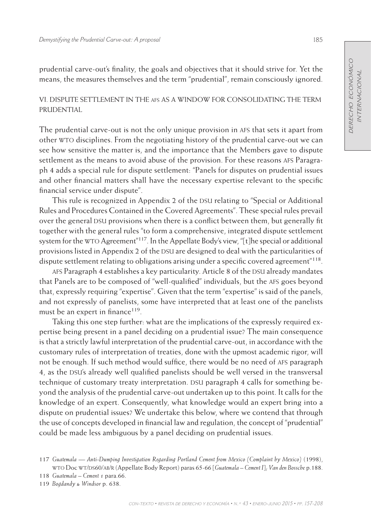prudential carve-out's finality, the goals and objectives that it should strive for. Yet the means, the measures themselves and the term "prudential", remain consciously ignored.

# VI. Dispute Settlement in the afs as a Window for Consolidating the Term **PRUDENTIAL**

The prudential carve-out is not the only unique provision in afs that sets it apart from other wto disciplines. From the negotiating history of the prudential carve-out we can see how sensitive the matter is, and the importance that the Members gave to dispute settlement as the means to avoid abuse of the provision. For these reasons afs Paragraph 4 adds a special rule for dispute settlement: "Panels for disputes on prudential issues and other financial matters shall have the necessary expertise relevant to the specific financial service under dispute".

This rule is recognized in Appendix 2 of the DSU relating to "Special or Additional Rules and Procedures Contained in the Covered Agreements". These special rules prevail over the general DSU provisions when there is a conflict between them, but generally fit together with the general rules "to form a comprehensive, integrated dispute settlement system for the WTO Agreement<sup>"117</sup>. In the Appellate Body's view, "[t]he special or additional provisions listed in Appendix 2 of the DSU are designed to deal with the particularities of dispute settlement relating to obligations arising under a specific covered agreement<sup>"118</sup>.

AFS Paragraph 4 establishes a key particularity. Article 8 of the DSU already mandates that Panels are to be composed of "well-qualified" individuals, but the afs goes beyond that, expressly requiring "expertise". Given that the term "expertise" is said of the panels, and not expressly of panelists, some have interpreted that at least one of the panelists must be an expert in finance<sup>119</sup>.

Taking this one step further: what are the implications of the expressly required expertise being present in a panel deciding on a prudential issue? The main consequence is that a strictly lawful interpretation of the prudential carve-out, in accordance with the customary rules of interpretation of treaties, done with the upmost academic rigor, will not be enough. If such method would suffice, there would be no need of afs paragraph 4, as the DSU's already well qualified panelists should be well versed in the transversal technique of customary treaty interpretation. DSU paragraph 4 calls for something beyond the analysis of the prudential carve-out undertaken up to this point. It calls for the knowledge of an expert. Consequently, what knowledge would an expert bring into a dispute on prudential issues? We undertake this below, where we contend that through the use of concepts developed in financial law and regulation, the concept of "prudential" could be made less ambiguous by a panel deciding on prudential issues.

<sup>117</sup> *Guatemala — Anti-Dumping Investigation Regarding Portland Cement from Mexico (Complaint by Mexico)* (1998), wto Doc wt/ds60/ab/r (Appellate Body Report) paras 65-66 [*Guatemala – Cement I*]; *Van den Bossche* p.188.

<sup>118</sup> *Guatemala – Cement 1* para.66.

<sup>119</sup> *Bogdandy & Windsor* p. 638.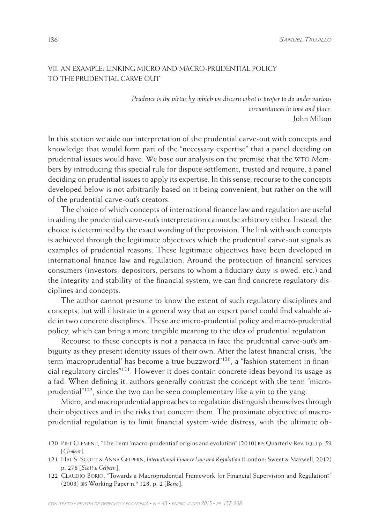186 *Samuel Trujillo*

# VII. An Example: linking micro and macro-prudential policy to the prudential carve out

*Prudence is the virtue by which we discern what is proper to do under various circumstances in time and place.* John Milton

In this section we aide our interpretation of the prudential carve-out with concepts and knowledge that would form part of the "necessary expertise" that a panel deciding on prudential issues would have. We base our analysis on the premise that the wto Members by introducing this special rule for dispute settlement, trusted and require, a panel deciding on prudential issues to apply its expertise. In this sense, recourse to the concepts developed below is not arbitrarily based on it being convenient, but rather on the will of the prudential carve-out's creators.

The choice of which concepts of international finance law and regulation are useful in aiding the prudential carve-out's interpretation cannot be arbitrary either. Instead, the choice is determined by the exact wording of the provision. The link with such concepts is achieved through the legitimate objectives which the prudential carve-out signals as examples of prudential reasons. These legitimate objectives have been developed in international finance law and regulation. Around the protection of financial services consumers (investors, depositors, persons to whom a fiduciary duty is owed, etc.) and the integrity and stability of the financial system, we can find concrete regulatory disciplines and concepts.

The author cannot presume to know the extent of such regulatory disciplines and concepts, but will illustrate in a general way that an expert panel could find valuable aide in two concrete disciplines. These are micro-prudential policy and macro-prudential policy, which can bring a more tangible meaning to the idea of prudential regulation.

Recourse to these concepts is not a panacea in face the prudential carve-out's ambiguity as they present identity issues of their own. After the latest financial crisis, "the term 'macroprudential' has become a true buzzword"120, a "fashion statement in financial regulatory circles"121. However it does contain concrete ideas beyond its usage as a fad. When defining it, authors generally contrast the concept with the term "microprudential<sup>"122</sup>, since the two can be seen complementary like a yin to the yang.

Micro, and macroprudential approaches to regulation distinguish themselves through their objectives and in the risks that concern them. The proximate objective of macroprudential regulation is to limit financial system-wide distress, with the ultimate ob-

- 120 Piet Clement, "The Term 'macro-prudential' origins and evolution" (2010) bis Quarterly Rev. (ql) p. 59 [*Clement*].
- 121 Hal S. Scott & Anna Gelpern, *International Finance Law and Regulation* (London: Sweet & Maxwell, 2012) p. 278 [*Scott & Gelpern*].
- 122 Claudio Borio, "Towards a Macroprudential Framework for Financial Supervision and Regulation?" (2003) bis Working Paper n.º 128, p. 2 [*Borio*].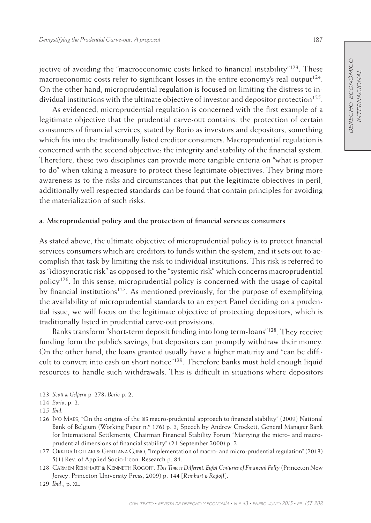jective of avoiding the "macroeconomic costs linked to financial instability"123. These macroeconomic costs refer to significant losses in the entire economy's real output<sup>124</sup>. On the other hand, microprudential regulation is focused on limiting the distress to individual institutions with the ultimate objective of investor and depositor protection<sup>125</sup>.

As evidenced, microprudential regulation is concerned with the first example of a legitimate objective that the prudential carve-out contains: the protection of certain consumers of financial services, stated by Borio as investors and depositors, something which fits into the traditionally listed creditor consumers. Macroprudential regulation is concerned with the second objective: the integrity and stability of the financial system. Therefore, these two disciplines can provide more tangible criteria on "what is proper to do" when taking a measure to protect these legitimate objectives. They bring more awareness as to the risks and circumstances that put the legitimate objectives in peril, additionally well respected standards can be found that contain principles for avoiding the materialization of such risks.

#### **a. Microprudential policy and the protection of financial services consumers**

As stated above, the ultimate objective of microprudential policy is to protect financial services consumers which are creditors to funds within the system, and it sets out to accomplish that task by limiting the risk to individual institutions. This risk is referred to as "idiosyncratic risk" as opposed to the "systemic risk" which concerns macroprudential policy<sup>126</sup>. In this sense, microprudential policy is concerned with the usage of capital by financial institutions<sup>127</sup>. As mentioned previously, for the purpose of exemplifying the availability of microprudential standards to an expert Panel deciding on a prudential issue, we will focus on the legitimate objective of protecting depositors, which is traditionally listed in prudential carve-out provisions.

Banks transform "short-term deposit funding into long term-loans"128. They receive funding form the public's savings, but depositors can promptly withdraw their money. On the other hand, the loans granted usually have a higher maturity and "can be difficult to convert into cash on short notice"129. Therefore banks must hold enough liquid resources to handle such withdrawals. This is difficult in situations where depositors

- 126 Ivo Maes, "On the origins of the bis macro-prudential approach to financial stability" (2009) National Bank of Belgium (Working Paper n.º 176) p. 3; Speech by Andrew Crockett, General Manager Bank for International Settlements, Chairman Financial Stability Forum "Marrying the micro- and macroprudential dimensions of financial stability" (21 September 2000) p. 2.
- 127 Orkida Ilollari & Gentiana Gjino, "Implementation of macro- and micro-prudential regulation" (2013) 5(1) Rev. of Applied Socio-Econ. Research p. 84.
- 128 Carmen Reinhart & Kenneth Rogoff. *This Time is Different: Eight Centuries of Financial Folly* (Princeton New Jersey: Princeton University Press, 2009) p. 144 [*Reinhart & Rogoff*].

<sup>123</sup> *Scott & Gelpern* p*.* 278; *Borio* p. 2.

<sup>124</sup> *Borio*, p. 2.

<sup>125</sup> *Ibid.*

<sup>129</sup> *Ibid*., p. xl.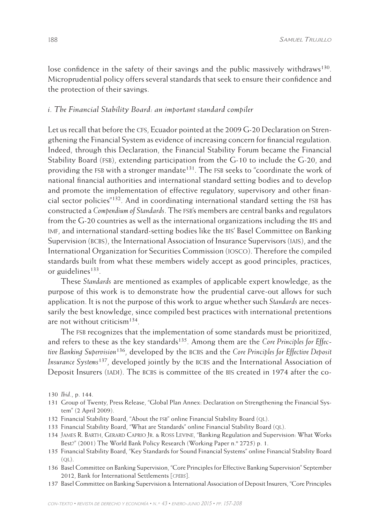lose confidence in the safety of their savings and the public massively withdraws<sup>130</sup>. Microprudential policy offers several standards that seek to ensure their confidence and the protection of their savings.

### *i. The Financial Stability Board: an important standard compiler*

Let us recall that before the CFS, Ecuador pointed at the 2009 G-20 Declaration on Strengthening the Financial System as evidence of increasing concern for financial regulation. Indeed, through this Declaration, the Financial Stability Forum became the Financial Stability Board (fsb), extending participation from the G-10 to include the G-20, and providing the FSB with a stronger mandate<sup>131</sup>. The FSB seeks to "coordinate the work of national financial authorities and international standard setting bodies and to develop and promote the implementation of effective regulatory, supervisory and other financial sector policies"<sup>132</sup>. And in coordinating international standard setting the FSB has constructed a *Compendium of Standards*. The fsb's members are central banks and regulators from the G-20 countries as well as the international organizations including the bis and imf, and international standard-setting bodies like the bis' Basel Committee on Banking Supervision (BCBS), the International Association of Insurance Supervisors (IAIS), and the International Organization for Securities Commission (iosco). Therefore the compiled standards built from what these members widely accept as good principles, practices, or guidelines<sup>133</sup>.

These *Standards* are mentioned as examples of applicable expert knowledge, as the purpose of this work is to demonstrate how the prudential carve-out allows for such application. It is not the purpose of this work to argue whether such *Standards* are necessarily the best knowledge, since compiled best practices with international pretentions are not without criticism<sup>134</sup>.

The fsb recognizes that the implementation of some standards must be prioritized, and refers to these as the key standards<sup>135</sup>. Among them are the *Core Principles for Effec*tive Banking Supervision<sup>136</sup>, developed by the BCBS and the *Core Principles for Effective Deposit Insurance Systems*137, developed jointly by the bcbs and the International Association of Deposit Insurers (IADI). The BCBS is committee of the BIS created in 1974 after the co-

- 131 Group of Twenty, Press Release, "Global Plan Annex: Declaration on Strengthening the Financial System" (2 April 2009).
- 132 Financial Stability Board, "About the FSB" online Financial Stability Board (QL).
- 133 Financial Stability Board, "What are Standards" online Financial Stability Board (ql).
- 134 James R. Barth, Gerard Caprio Jr. & Ross Levine, "Banking Regulation and Supervision: What Works Best?" (2001) The World Bank Policy Research (Working Paper n.º 2725) p. 1.
- 135 Financial Stability Board, "Key Standards for Sound Financial Systems" online Financial Stability Board  $(OL).$
- 136 Basel Committee on Banking Supervision, "Core Principles for Effective Banking Supervision" September 2012, Bank for International Settlements [*cpebs*].
- 137 Basel Committee on Banking Supervision & International Association of Deposit Insurers, "Core Principles

<sup>130</sup> *Ibid*., p. 144.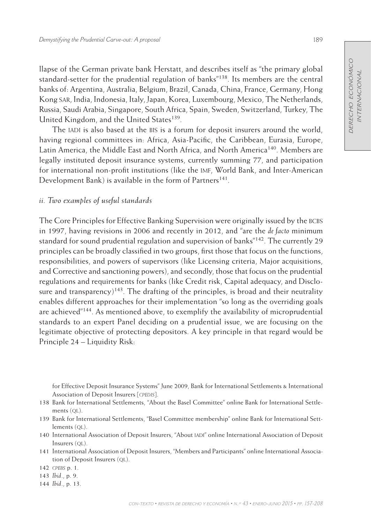llapse of the German private bank Herstatt, and describes itself as "the primary global standard-setter for the prudential regulation of banks"138. Its members are the central banks of: Argentina, Australia, Belgium, Brazil, Canada, China, France, Germany, Hong Kong sar, India, Indonesia, Italy, Japan, Korea, Luxembourg, Mexico, The Netherlands, Russia, Saudi Arabia, Singapore, South Africa, Spain, Sweden, Switzerland, Turkey, The United Kingdom, and the United States<sup>139</sup>.

The IADI is also based at the BIS is a forum for deposit insurers around the world, having regional committees in: Africa, Asia-Pacific, the Caribbean, Eurasia, Europe, Latin America, the Middle East and North Africa, and North America<sup>140</sup>. Members are legally instituted deposit insurance systems, currently summing 77, and participation for international non-profit institutions (like the imf, World Bank, and Inter-American Development Bank) is available in the form of Partners<sup>141</sup>.

## *ii. Two examples of useful standards*

The Core Principles for Effective Banking Supervision were originally issued by the BCBS in 1997, having revisions in 2006 and recently in 2012, and "are the *de facto* minimum standard for sound prudential regulation and supervision of banks<sup>"142</sup>. The currently 29 principles can be broadly classified in two groups, first those that focus on the functions, responsibilities, and powers of supervisors (like Licensing criteria, Major acquisitions, and Corrective and sanctioning powers), and secondly, those that focus on the prudential regulations and requirements for banks (like Credit risk, Capital adequacy, and Disclosure and transparency)<sup>143</sup>. The drafting of the principles, is broad and their neutrality enables different approaches for their implementation "so long as the overriding goals are achieved"<sup>144</sup>. As mentioned above, to exemplify the availability of microprudential standards to an expert Panel deciding on a prudential issue, we are focusing on the legitimate objective of protecting depositors. A key principle in that regard would be Principle 24 – Liquidity Risk:

for Effective Deposit Insurance Systems" June 2009, Bank for International Settlements & International Association of Deposit Insurers [*cpedis*].

- 138 Bank for International Settlements, "About the Basel Committee" online Bank for International Settlements (QL).
- 139 Bank for International Settlements, "Basel Committee membership" online Bank for International Settlements (QL).
- 140 International Association of Deposit Insurers, "About iadi" online International Association of Deposit Insurers (QL).
- 141 International Association of Deposit Insurers, "Members and Participants" online International Association of Deposit Insurers (QL).
- 142 *cpebs* p. 1.
- 143 *Ibid*., p. 9.
- 144 *Ibid*., p. 13.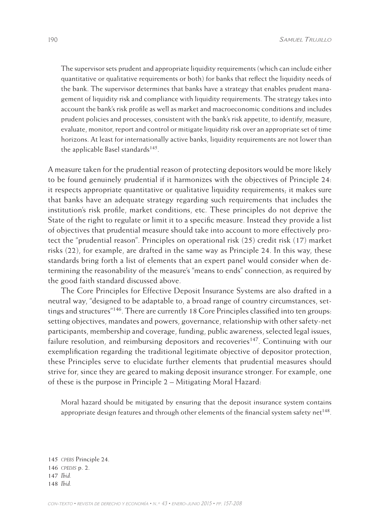The supervisor sets prudent and appropriate liquidity requirements (which can include either quantitative or qualitative requirements or both) for banks that reflect the liquidity needs of the bank. The supervisor determines that banks have a strategy that enables prudent management of liquidity risk and compliance with liquidity requirements. The strategy takes into account the bank's risk profile as well as market and macroeconomic conditions and includes prudent policies and processes, consistent with the bank's risk appetite, to identify, measure, evaluate, monitor, report and control or mitigate liquidity risk over an appropriate set of time horizons. At least for internationally active banks, liquidity requirements are not lower than the applicable Basel standards $145$ .

A measure taken for the prudential reason of protecting depositors would be more likely to be found genuinely prudential if it harmonizes with the objectives of Principle 24: it respects appropriate quantitative or qualitative liquidity requirements; it makes sure that banks have an adequate strategy regarding such requirements that includes the institution's risk profile, market conditions, etc. These principles do not deprive the State of the right to regulate or limit it to a specific measure. Instead they provide a list of objectives that prudential measure should take into account to more effectively protect the "prudential reason". Principles on operational risk (25) credit risk (17) market risks (22), for example, are drafted in the same way as Principle 24. In this way, these standards bring forth a list of elements that an expert panel would consider when determining the reasonability of the measure's "means to ends" connection, as required by the good faith standard discussed above.

The Core Principles for Effective Deposit Insurance Systems are also drafted in a neutral way, "designed to be adaptable to, a broad range of country circumstances, settings and structures<sup>"146</sup>. There are currently 18 Core Principles classified into ten groups: setting objectives, mandates and powers, governance, relationship with other safety-net participants, membership and coverage, funding, public awareness, selected legal issues, failure resolution, and reimbursing depositors and recoveries<sup>147</sup>. Continuing with our exemplification regarding the traditional legitimate objective of depositor protection, these Principles serve to elucidate further elements that prudential measures should strive for, since they are geared to making deposit insurance stronger. For example, one of these is the purpose in Principle 2 – Mitigating Moral Hazard:

Moral hazard should be mitigated by ensuring that the deposit insurance system contains appropriate design features and through other elements of the financial system safety net<sup>148</sup>.

145 *cpebs* Principle 24. 146 *cpedis* p. 2. 147 *Ibid.* 148 *Ibid.*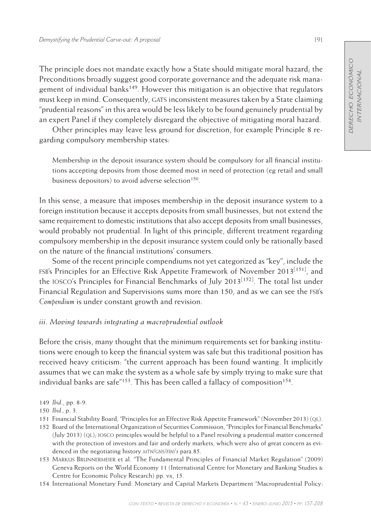The principle does not mandate exactly how a State should mitigate moral hazard; the Preconditions broadly suggest good corporate governance and the adequate risk management of individual banks<sup>149</sup>. However this mitigation is an objective that regulators must keep in mind. Consequently, GATS inconsistent measures taken by a State claiming "prudential reasons" in this area would be less likely to be found genuinely prudential by an expert Panel if they completely disregard the objective of mitigating moral hazard.

Other principles may leave less ground for discretion, for example Principle 8 regarding compulsory membership states:

Membership in the deposit insurance system should be compulsory for all financial institutions accepting deposits from those deemed most in need of protection (eg retail and small business depositors) to avoid adverse selection<sup>150</sup>.

In this sense, a measure that imposes membership in the deposit insurance system to a foreign institution because it accepts deposits from small businesses, but not extend the same requirement to domestic institutions that also accept deposits from small businesses, would probably not prudential. In light of this principle, different treatment regarding compulsory membership in the deposit insurance system could only be rationally based on the nature of the financial institutions' consumers.

Some of the recent principle compendiums not yet categorized as "key", include the fsb's Principles for an Effective Risk Appetite Framework of November 2013[151], and the IOSCO's Principles for Financial Benchmarks of July 2013<sup>[152]</sup>. The total list under Financial Regulation and Supervisions sums more than 150, and as we can see the fsb's *Compendium* is under constant growth and revision.

## *iii. Moving towards integrating a macroprudential outlook*

Before the crisis, many thought that the minimum requirements set for banking institutions were enough to keep the financial system was safe but this traditional position has received heavy criticism: "the current approach has been found wanting. It implicitly assumes that we can make the system as a whole safe by simply trying to make sure that individual banks are safe<sup> $n153$ </sup>. This has been called a fallacy of composition<sup>154</sup>.

- 151 Financial Stability Board, "Principles for an Effective Risk Appetite Framework" (November 2013) (ql).
- 152 Board of the International Organization of Securities Commission, "Principles for Financial Benchmarks" (July 2013) (QL); IOSCO principles would be helpful to a Panel resolving a prudential matter concerned with the protection of investors and fair and orderly markets, which were also of great concern as evidenced in the negotiating history *mtn/gns/fin/1* para.85.
- 153 Markus Brunnermeier et al. "The Fundamental Principles of Financial Market Regulation" (2009) Geneva Reports on the World Economy 11 (International Centre for Monetary and Banking Studies & Centre for Economic Policy Research) pp. vx, 15.
- 154 International Monetary Fund: Monetary and Capital Markets Department "Macroprudential Policy:

<sup>149</sup> *Ibid*., pp. 8-9.

<sup>150</sup> *Ibid.,* p. 3.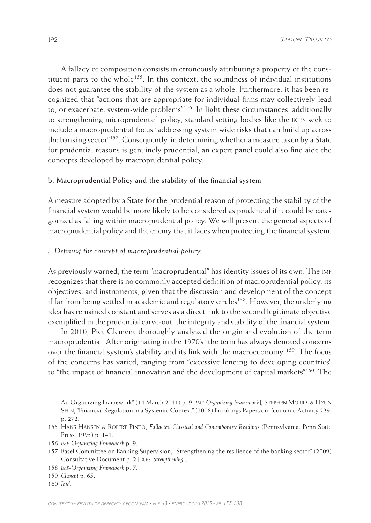A fallacy of composition consists in erroneously attributing a property of the constituent parts to the whole<sup>155</sup>. In this context, the soundness of individual institutions does not guarantee the stability of the system as a whole. Furthermore, it has been recognized that "actions that are appropriate for individual firms may collectively lead to, or exacerbate, system-wide problems"156. In light these circumstances, additionally to strengthening microprudentail policy, standard setting bodies like the BCBS seek to include a macroprudential focus "addressing system wide risks that can build up across the banking sector<sup>"157</sup>. Consequently, in determining whether a measure taken by a State for prudential reasons is genuinely prudential, an expert panel could also find aide the concepts developed by macroprudential policy.

# **b. Macroprudential Policy and the stability of the financial system**

A measure adopted by a State for the prudential reason of protecting the stability of the financial system would be more likely to be considered as prudential if it could be categorized as falling within macroprudential policy. We will present the general aspects of macroprudential policy and the enemy that it faces when protecting the financial system.

# *i. Defining the concept of macroprudential policy*

As previously warned, the term "macroprudential" has identity issues of its own. The imf recognizes that there is no commonly accepted definition of macroprudential policy, its objectives, and instruments, given that the discussion and development of the concept if far from being settled in academic and regulatory circles<sup>158</sup>. However, the underlying idea has remained constant and serves as a direct link to the second legitimate objective exemplified in the prudential carve-out: the integrity and stability of the financial system.

In 2010, Piet Clement thoroughly analyzed the origin and evolution of the term macroprudential. After originating in the 1970's "the term has always denoted concerns over the financial system's stability and its link with the macroeconomy"159. The focus of the concerns has varied, ranging from "excessive lending to developing countries" to "the impact of financial innovation and the development of capital markets"<sup>160</sup>. The

An Organizing Framework" (14 March 2011) p. 9 [*imf-Organizing Framework*]; Stephen Morris & Hyun Shin, "Financial Regulation in a Systemic Context" (2008) Brookings Papers on Economic Activity 229, p. 272.

- 155 Hans Hansen & Robert Pinto, *Fallacies: Classical and Contemporary Readings* (Pennsylvania: Penn State Press, 1995) p. 141.
- 156 *imf-Organizing Framework* p. 9.
- 157 Basel Committee on Banking Supervision, "Strengthening the resilience of the banking sector" (2009) Consultative Document p. 2 [*bcbs-Strengthening*].
- 158 *imf-Organizing Framework* p. 7.

160 *Ibid.*

<sup>159</sup> *Clement* p. 65.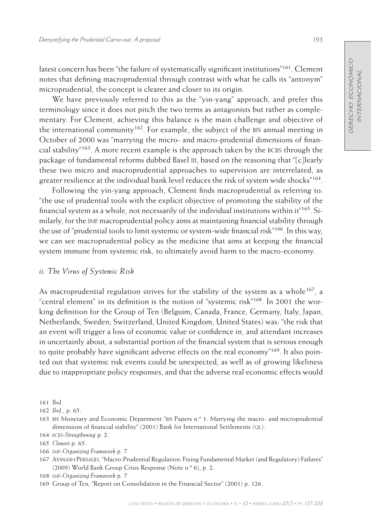latest concern has been "the failure of systematically significant institutions"161. Clement notes that defining macroprudential through contrast with what he calls its "antonym" microprudential, the concept is clearer and closer to its origin.

We have previously referred to this as the "yin-yang" approach, and prefer this terminology since it does not pitch the two terms as antagonists but rather as complementary. For Clement, achieving this balance is the main challenge and objective of the international community<sup>162</sup>. For example, the subject of the BIS annual meeting in October of 2000 was "marrying the micro- and macro-prudential dimensions of financial stability<sup> $n_{163}$ </sup>. A more recent example is the approach taken by the BCBS through the package of fundamental reforms dubbed Basel iii, based on the reasoning that "[c]learly these two micro and macroprudential approaches to supervision are interrelated, as greater resilience at the individual bank level reduces the risk of system wide shocks"<sup>164</sup>.

Following the yin-yang approach, Clement finds macroprudential as referring to: "the use of prudential tools with the explicit objective of promoting the stability of the financial system as a whole, not necessarily of the individual institutions within it<sup>"165</sup>. Similarly, for the imf macroprudential policy aims at maintaining financial stability through the use of "prudential tools to limit systemic or system-wide financial risk"<sup>166</sup>. In this way, we can see macroprudential policy as the medicine that aims at keeping the financial system immune from systemic risk, to ultimately avoid harm to the macro-economy.

# *ii. The Virus of Systemic Risk*

As macroprudential regulation strives for the stability of the system as a whole<sup>167</sup>, a "central element" in its definition is the notion of "systemic risk"168. In 2001 the working definition for the Group of Ten (Belguim, Canada, France, Germany, Italy, Japan, Netherlands, Sweden, Switzerland, United Kingdom, United States) was: "the risk that an event will trigger a loss of economic value or confidence in, and attendant increases in uncertainly about, a substantial portion of the financial system that is serious enough to quite probably have significant adverse effects on the real economy"<sup>169</sup>. It also pointed out that systemic risk events could be unexpected, as well as of growing likeliness due to inappropriate policy responses, and that the adverse real economic effects would

166 *imf-Organizing Framework* p. 7.

<sup>161</sup> *Ibid.*

<sup>162</sup> *Ibid*., p. 65.

<sup>163</sup> bis Monetary and Economic Department "bis Papers n.º 1: Marrying the macro- and microprudential dimensions of financial stability" (2001) Bank for International Settlements (QL).

<sup>164</sup> *bcbs-Strengthening* p. 2.

<sup>165</sup> *Clement* p. 65.

<sup>167</sup> Avinash Persaud, "Macro-Prudential Regulation: Fixing Fundamental Market (and Regulatory) Failures" (2009) World Bank Group Crisis Response (Note n.º 6), p. 2.

<sup>168</sup> *imf-Organizing Framework* p. 7.

<sup>169</sup> Group of Ten, "Report on Consolidation in the Financial Sector" (2001) p. 126.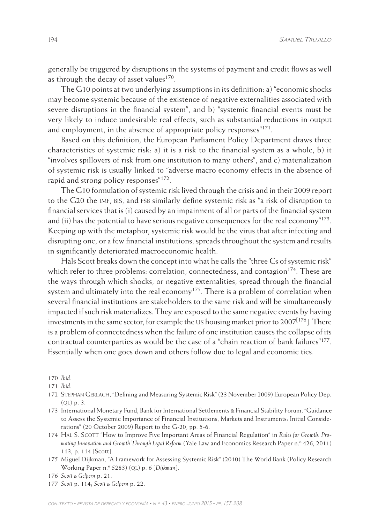generally be triggered by disruptions in the systems of payment and credit flows as well as through the decay of asset values<sup>170</sup>.

The G10 points at two underlying assumptions in its definition: a) "economic shocks may become systemic because of the existence of negative externalities associated with severe disruptions in the financial system", and b) "systemic financial events must be very likely to induce undesirable real effects, such as substantial reductions in output and employment, in the absence of appropriate policy responses"<sup>171</sup>.

Based on this definition, the European Parliament Policy Department draws three characteristics of systemic risk: a) it is a risk to the financial system as a whole, b) it "involves spillovers of risk from one institution to many others", and c) materialization of systemic risk is usually linked to "adverse macro economy effects in the absence of rapid and strong policy responses"172.

The G10 formulation of systemic risk lived through the crisis and in their 2009 report to the G20 the IMF, BIS, and FSB similarly define systemic risk as "a risk of disruption to financial services that is (i) caused by an impairment of all or parts of the financial system and (ii) has the potential to have serious negative consequences for the real economy $"^{173}$ . Keeping up with the metaphor, systemic risk would be the virus that after infecting and disrupting one, or a few financial institutions, spreads throughout the system and results in significantly deteriorated macroeconomic health.

Hals Scott breaks down the concept into what he calls the "three Cs of systemic risk" which refer to three problems: correlation, connectedness, and contagion<sup>174</sup>. These are the ways through which shocks, or negative externalities, spread through the financial system and ultimately into the real economy<sup>175</sup>. There is a problem of correlation when several financial institutions are stakeholders to the same risk and will be simultaneously impacted if such risk materializes. They are exposed to the same negative events by having investments in the same sector, for example the US housing market prior to 2007<sup>[176]</sup>. There is a problem of connectedness when the failure of one institution causes the collapse of its contractual counterparties as would be the case of a "chain reaction of bank failures"177. Essentially when one goes down and others follow due to legal and economic ties.

170 *Ibid.*

171 *Ibid.*

- 172 Stephan Gerlach, "Defining and Measuring Systemic Risk" (23 November 2009) European Policy Dep.  $(OL)$  p. 3.
- 173 International Monetary Fund, Bank for International Settlements & Financial Stability Forum, "Guidance to Assess the Systemic Importance of Financial Institutions, Markets and Instruments: Initial Considerations" (20 October 2009) Report to the G-20, pp. 5-6.
- 174 Hal S. Scott "How to Improve Five Important Areas of Financial Regulation" in *Rules for Growth: Promoting Innovation and Growth Through Legal Reform* (Yale Law and Economics Research Paper n.º 426, 2011) 113, p. 114 [Scott].
- 175 Miguel Dijkman, "A Framework for Assessing Systemic Risk" (2010) The World Bank (Policy Research Working Paper n.º 5283) (ql) p. 6 [*Dijkman*].

177 *Scott* p. 114; *Scott & Gelpern* p. 22.

<sup>176</sup> *Scott & Gelpern* p. 21.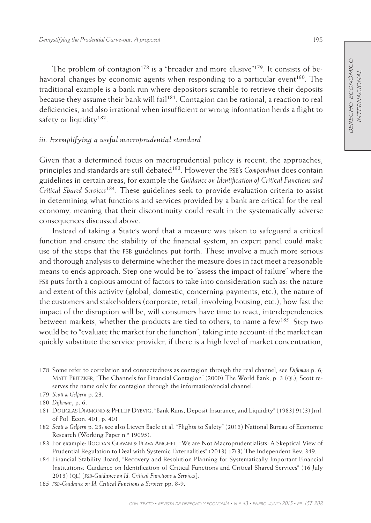The problem of contagion<sup>178</sup> is a "broader and more elusive"<sup>179</sup>. It consists of behavioral changes by economic agents when responding to a particular event<sup>180</sup>. The traditional example is a bank run where depositors scramble to retrieve their deposits because they assume their bank will fail<sup>181</sup>. Contagion can be rational, a reaction to real deficiencies, and also irrational when insufficient or wrong information herds a flight to safety or liquidity<sup>182</sup>.

# *iii. Exemplifying a useful macroprudential standard*

Given that a determined focus on macroprudential policy is recent, the approaches, principles and standards are still debated<sup>183</sup>. However the FSB's *Compendium* does contain guidelines in certain areas, for example the *Guidance on Identification of Critical Functions and Critical Shared Services*184. These guidelines seek to provide evaluation criteria to assist in determining what functions and services provided by a bank are critical for the real economy, meaning that their discontinuity could result in the systematically adverse consequences discussed above.

Instead of taking a State's word that a measure was taken to safeguard a critical function and ensure the stability of the financial system, an expert panel could make use of the steps that the FSB guidelines put forth. These involve a much more serious and thorough analysis to determine whether the measure does in fact meet a reasonable means to ends approach. Step one would be to "assess the impact of failure" where the fsb puts forth a copious amount of factors to take into consideration such as: the nature and extent of this activity (global, domestic, concerning payments, etc.), the nature of the customers and stakeholders (corporate, retail, involving housing, etc.), how fast the impact of the disruption will be, will consumers have time to react, interdependencies between markets, whether the products are tied to others, to name a few<sup>185</sup>. Step two would be to "evaluate the market for the function", taking into account: if the market can quickly substitute the service provider, if there is a high level of market concentration,

<sup>178</sup> Some refer to correlation and connectedness as contagion through the real channel, see *Dijkman* p. 6; MATT PRITZKER, "The Channels for Financial Contagion" (2000) The World Bank, p. 3 (QL); Scott reserves the name only for contagion through the information/social channel.

<sup>179</sup> *Scott & Gelpern* p. 23.

<sup>180</sup> *Dijkman*, p. 6.

<sup>181</sup> Douglas Diamond & Phillip Dybvig, "Bank Runs, Deposit Insurance, and Liquidity" (1983) 91(3) Jrnl. of Pol. Econ. 401, p. 401.

<sup>182</sup> *Scott & Gelpern* p. 23; see also Lieven Baele et al. "Flights to Safety" (2013) National Bureau of Economic Research (Working Paper n.º 19095).

<sup>183</sup> For example: BOGDAN GLAVAN & FLAVA ANGHEL, "We are Not Macroprudentialists: A Skeptical View of Prudential Regulation to Deal with Systemic Externalities" (2013) 17(3) The Independent Rev. 349.

<sup>184</sup> Financial Stability Board, "Recovery and Resolution Planning for Systematically Important Financial Institutions: Guidance on Identification of Critical Functions and Critical Shared Services" (16 July 2013) (ql) [*fsb-Guidance on Id. Critical Functions & Services*].

<sup>185</sup> *fsb-Guidance on Id. Critical Functions & Services* pp. 8-9.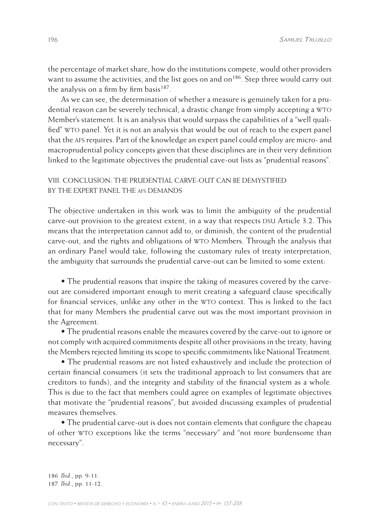the percentage of market share, how do the institutions compete, would other providers want to assume the activities, and the list goes on and on<sup>186</sup>. Step three would carry out the analysis on a firm by firm basis<sup>187</sup>.

As we can see, the determination of whether a measure is genuinely taken for a prudential reason can be severely technical, a drastic change from simply accepting a WTO Member's statement. It is an analysis that would surpass the capabilities of a "well qualified" wto panel. Yet it is not an analysis that would be out of reach to the expert panel that the afs requires. Part of the knowledge an expert panel could employ are micro- and macroprudential policy concepts given that these disciplines are in their very definition linked to the legitimate objectives the prudential cave-out lists as "prudential reasons".

# VIII. Conclusion: The prudential carve-out can be demystified BY THE EXPERT PANEL THE AFS DEMANDS

The objective undertaken in this work was to limit the ambiguity of the prudential carve-out provision to the greatest extent, in a way that respects DSU Article 3.2. This means that the interpretation cannot add to, or diminish, the content of the prudential carve-out, and the rights and obligations of wto Members. Through the analysis that an ordinary Panel would take, following the customary rules of treaty interpretation, the ambiguity that surrounds the prudential carve-out can be limited to some extent:

• The prudential reasons that inspire the taking of measures covered by the carveout are considered important enough to merit creating a safeguard clause specifically for financial services, unlike any other in the WTO context. This is linked to the fact that for many Members the prudential carve out was the most important provision in the Agreement.

• The prudential reasons enable the measures covered by the carve-out to ignore or not comply with acquired commitments despite all other provisions in the treaty, having the Members rejected limiting its scope to specific commitments like National Treatment.

• The prudential reasons are not listed exhaustively and include the protection of certain financial consumers (it sets the traditional approach to list consumers that are creditors to funds), and the integrity and stability of the financial system as a whole. This is due to the fact that members could agree on examples of legitimate objectives that motivate the "prudential reasons", but avoided discussing examples of prudential measures themselves.

• The prudential carve-out is does not contain elements that configure the chapeau of other wto exceptions like the terms "necessary" and "not more burdensome than necessary".

<sup>186</sup> *Ibid*., pp. 9-11. 187 *Ibid*., pp. 11-12.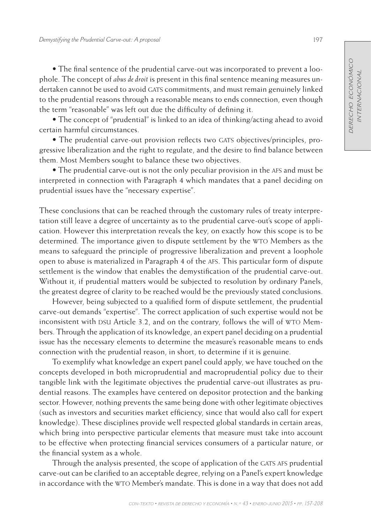• The final sentence of the prudential carve-out was incorporated to prevent a loophole. The concept of *abus de droit* is present in this final sentence meaning measures undertaken cannot be used to avoid GATS commitments, and must remain genuinely linked to the prudential reasons through a reasonable means to ends connection, even though the term "reasonable" was left out due the difficulty of defining it.

• The concept of "prudential" is linked to an idea of thinking/acting ahead to avoid certain harmful circumstances.

• The prudential carve-out provision reflects two GATS objectives/principles, progressive liberalization and the right to regulate, and the desire to find balance between them. Most Members sought to balance these two objectives.

• The prudential carve-out is not the only peculiar provision in the afs and must be interpreted in connection with Paragraph 4 which mandates that a panel deciding on prudential issues have the "necessary expertise".

These conclusions that can be reached through the customary rules of treaty interpretation still leave a degree of uncertainty as to the prudential carve-out's scope of application. However this interpretation reveals the key, on exactly how this scope is to be determined. The importance given to dispute settlement by the WTO Members as the means to safeguard the principle of progressive liberalization and prevent a loophole open to abuse is materialized in Paragraph 4 of the afs. This particular form of dispute settlement is the window that enables the demystification of the prudential carve-out. Without it, if prudential matters would be subjected to resolution by ordinary Panels, the greatest degree of clarity to be reached would be the previously stated conclusions.

However, being subjected to a qualified form of dispute settlement, the prudential carve-out demands "expertise". The correct application of such expertise would not be inconsistent with DSU Article 3.2, and on the contrary, follows the will of WTO Members. Through the application of its knowledge, an expert panel deciding on a prudential issue has the necessary elements to determine the measure's reasonable means to ends connection with the prudential reason, in short, to determine if it is genuine.

To exemplify what knowledge an expert panel could apply, we have touched on the concepts developed in both microprudential and macroprudential policy due to their tangible link with the legitimate objectives the prudential carve-out illustrates as prudential reasons. The examples have centered on depositor protection and the banking sector. However, nothing prevents the same being done with other legitimate objectives (such as investors and securities market efficiency, since that would also call for expert knowledge). These disciplines provide well respected global standards in certain areas, which bring into perspective particular elements that measure must take into account to be effective when protecting financial services consumers of a particular nature, or the financial system as a whole.

Through the analysis presented, the scope of application of the GATS AFS prudential carve-out can be clarified to an acceptable degree, relying on a Panel's expert knowledge in accordance with the WTO Member's mandate. This is done in a way that does not add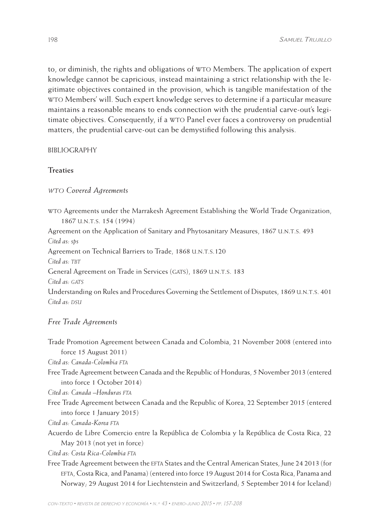to, or diminish, the rights and obligations of wto Members. The application of expert knowledge cannot be capricious, instead maintaining a strict relationship with the legitimate objectives contained in the provision, which is tangible manifestation of the wto Members' will. Such expert knowledge serves to determine if a particular measure maintains a reasonable means to ends connection with the prudential carve-out's legitimate objectives. Consequently, if a WTO Panel ever faces a controversy on prudential matters, the prudential carve-out can be demystified following this analysis.

### **BIBLIOGRAPHY**

# **Treaties**

#### *wto Covered Agreements*

wto Agreements under the Marrakesh Agreement Establishing the World Trade Organization, 1867 u.n.t.s. 154 (1994)

Agreement on the Application of Sanitary and Phytosanitary Measures, 1867 U.N.T.S. 493

*Cited as: sps*

Agreement on Technical Barriers to Trade, 1868 U.N.T.S.120

*Cited as: tbt*

General Agreement on Trade in Services (GATS), 1869 U.N.T.S. 183

*Cited as: gats*

Understanding on Rules and Procedures Governing the Settlement of Disputes, 1869 U.N.T.S. 401  $Cited$  *as: DSU* 

#### *Free Trade Agreements*

Trade Promotion Agreement between Canada and Colombia, 21 November 2008 (entered into force 15 August 2011)

*Cited as: Canada-Colombia fta*

Free Trade Agreement between Canada and the Republic of Honduras, 5 November 2013 (entered into force 1 October 2014)

*Cited as: Canada –Honduras fta*

Free Trade Agreement between Canada and the Republic of Korea, 22 September 2015 (entered into force 1 January 2015)

*Cited as: Canada-Korea fta*

Acuerdo de Libre Comercio entre la República de Colombia y la República de Costa Rica, 22 May 2013 (not yet in force)

*Cited as: Costa Rica-Colombia fta*

Free Trade Agreement between the efta States and the Central American States, June 24 2013 (for efta, Costa Rica, and Panama) (entered into force 19 August 2014 for Costa Rica, Panama and Norway; 29 August 2014 for Liechtenstein and Switzerland; 5 September 2014 for Iceland)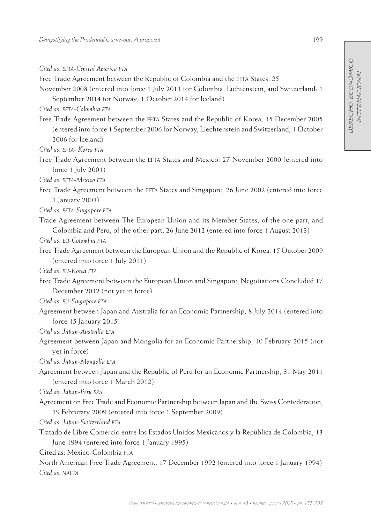*Cited as: efta-Central America fta*

Free Trade Agreement between the Republic of Colombia and the EFTA States, 25

November 2008 (entered into force 1 July 2011 for Colombia, Lichtenstein, and Switzerland; 1 September 2014 for Norway; 1 October 2014 for Iceland)

*Cited as: efta-Colombia fta*

Free Trade Agreement between the efta States and the Republic of Korea, 15 December 2005 (entered into force 1 September 2006 for Norway, Liechtenstein and Switzerland; 1 October 2006 for Iceland)

*Cited as: efta- Korea fta*

Free Trade Agreement between the EFTA States and Mexico, 27 November 2000 (entered into force 1 July 2001)

*Cited as: efta-Mexico fta*

Free Trade Agreement between the EFTA States and Singapore, 26 June 2002 (entered into force 1 January 2003)

*Cited as: efta-Singapore fta*

Trade Agreement between The European Union and its Member States, of the one part, and Colombia and Peru, of the other part, 26 June 2012 (entered into force 1 August 2013)

*Cited as: eu-Colombia fta*

Free Trade Agreement between the European Union and the Republic of Korea, 15 October 2009 (entered into force 1 July 2011)

*Cited as: eu-Korea fta*

Free Trade Agreement between the European Union and Singapore, Negotiations Concluded 17 December 2012 (not yet in force)

*Cited as: eu-Singapore fta*

Agreement between Japan and Australia for an Economic Partnership, 8 July 2014 (entered into force 15 January 2015)

*Cited as: Japan-Australia epa*

Agreement between Japan and Mongolia for an Economic Partnership, 10 February 2015 (not yet in force)

*Cited as: Japan-Mongolia epa*

Agreement between Japan and the Republic of Peru for an Economic Partnership, 31 May 2011 (entered into force 1 March 2012)

*Cited as: Japan-Peru epa*

Agreement on Free Trade and Economic Partnership between Japan and the Swiss Confederation, 19 Februrary 2009 (entered into force 1 September 2009)

*Cited as: Japan-Switzerland fta*

Tratado de Libre Comercio entre los Estados Unidos Mexicanos y la República de Colombia, 13 June 1994 (entered into force 1 January 1995)

Cited as: Mexico-Colombia FTA

North American Free Trade Agreement, 17 December 1992 (entered into force 1 January 1994) *Cited as: nafta*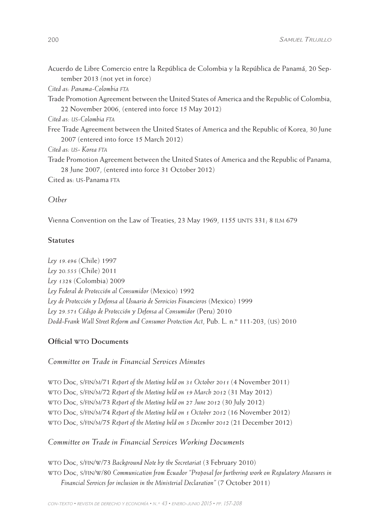| Acuerdo de Libre Comercio entre la República de Colombia y la República de Panamá, 20 Sep- |  |  |  |
|--------------------------------------------------------------------------------------------|--|--|--|
| tember 2013 (not yet in force)                                                             |  |  |  |

*Cited as: Panama-Colombia fta*

Trade Promotion Agreement between the United States of America and the Republic of Colombia, 22 November 2006, (entered into force 15 May 2012)

*Cited as: us-Colombia fta*

Free Trade Agreement between the United States of America and the Republic of Korea, 30 June 2007 (entered into force 15 March 2012)

*Cited as: us- Korea fta*

Trade Promotion Agreement between the United States of America and the Republic of Panama, 28 June 2007, (entered into force 31 October 2012)

Cited as: US-Panama FTA

# *Other*

Vienna Convention on the Law of Treaties, 23 May 1969, 1155 UNTS 331; 8 ILM 679

## **Statutes**

*Ley 19.496* (Chile) 1997 *Ley 20.555* (Chile) 2011 *Ley 1328* (Colombia) 2009 *Ley Federal de Protección al Consumidor* (Mexico) 1992 *Ley de Protección y Defensa al Usuario de Servicios Financieros* (Mexico) 1999 *Ley 29.571 Código de Protección y Defensa al Consumidor* (Peru) 2010 *Dodd-Frank Wall Street Reform and Consumer Protection Act*, Pub. L. n.º 111-203, (us) 2010

#### **Official wto Documents**

*Committee on Trade in Financial Services Minutes*

wto Doc, s/fin/m/71 *Report of the Meeting held on 31 October 2011* (4 November 2011) wto Doc, s/fin/m/72 *Report of the Meeting held on 19 March 2012* (31 May 2012) wto Doc, s/fin/m/73 *Report of the Meeting held on 27 June 2012* (30 July 2012) wto Doc, s/fin/m/74 *Report of the Meeting held on 1 October 2012* (16 November 2012) wto Doc, s/fin/m/75 *Report of the Meeting held on 5 December 2012* (21 December 2012)

## *Committee on Trade in Financial Services Working Documents*

wto Doc, s/fin/w/73 *Background Note by the Secretariat* (3 February 2010) wto Doc, s/fin/w/80 *Communication from Ecuador "Proposal for furthering work on Regulatory Measures in Financial Services for inclusion in the Ministerial Declaration"* (7 October 2011)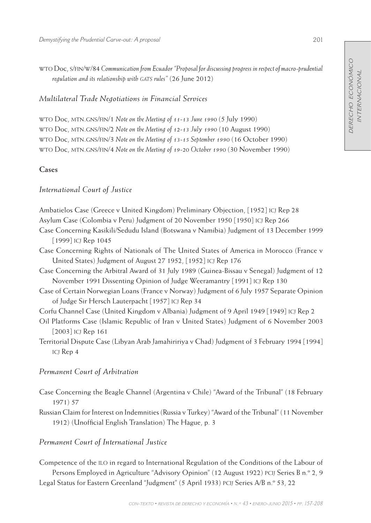wto Doc, s/fin/w/84 *Communication from Ecuador "Proposal for discussing progress in respect of macro-prudential regulation and its relationship with GATS rules"* (26 June 2012)

*Multilateral Trade Negotiations in Financial Services*

wto Doc, mtn.gns/fin/1 *Note on the Meeting of 11-13 June 1990* (5 July 1990) wto Doc, mtn.gns/fin/2 *Note on the Meeting of 12-13 July 1990* (10 August 1990) wto Doc, mtn.gns/fin/3 *Note on the Meeting of 13-15 September 1990* (16 October 1990) wto Doc, mtn.gns/fin/4 *Note on the Meeting of 19-20 October 1990* (30 November 1990)

# **Cases**

# *International Court of Justice*

Ambatielos Case (Greece v United Kingdom) Preliminary Objection, [1952] icj Rep 28 Asylum Case (Colombia v Peru) Judgment of 20 November 1950 [1950] icj Rep 266 Case Concerning Kasikili/Sedudu Island (Botswana v Namibia) Judgment of 13 December 1999 [1999] ICJ Rep 1045 Case Concerning Rights of Nationals of The United States of America in Morocco (France v United States) Judgment of August 27 1952, [1952] icj Rep 176 Case Concerning the Arbitral Award of 31 July 1989 (Guinea-Bissau v Senegal) Judgment of 12 November 1991 Dissenting Opinion of Judge Weeramantry [1991] icj Rep 130 Case of Certain Norwegian Loans (France v Norway) Judgment of 6 July 1957 Separate Opinion of Judge Sir Hersch Lauterpacht [1957] icj Rep 34 Corfu Channel Case (United Kingdom v Albania) Judgment of 9 April 1949 [1949] icj Rep 2 Oil Platforms Case (Islamic Republic of Iran v United States) Judgment of 6 November 2003 [2003] ICJ Rep 161 Territorial Dispute Case (Libyan Arab Jamahiririya v Chad) Judgment of 3 February 1994 [1994] icj Rep 4

# *Permanent Court of Arbitration*

- Case Concerning the Beagle Channel (Argentina v Chile) "Award of the Tribunal" (18 February 1971) 57
- Russian Claim for Interest on Indemnities (Russia v Turkey) "Award of the Tribunal" (11 November 1912) (Unofficial English Translation) The Hague, p. 3

# *Permanent Court of International Justice*

Competence of the ilo in regard to International Regulation of the Conditions of the Labour of Persons Employed in Agriculture "Advisory Opinion" (12 August 1922) pcij Series B n.º 2, 9 Legal Status for Eastern Greenland "Judgment" (5 April 1933) pcij Series A/B n.º 53, 22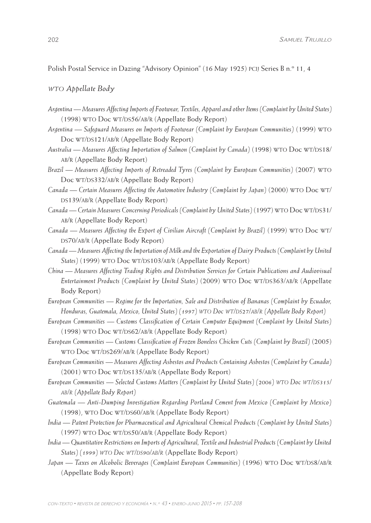Polish Postal Service in Dazing "Advisory Opinion" (16 May 1925) pcij Series B n.º 11, 4

## *wto Appellate Body*

- *Argentina Measures Affecting Imports of Footwear, Textiles, Apparel and other Items (Complaint by United States)* (1998) WTO Doc WT/DS56/AB/R (Appellate Body Report)
- *Argentina Safeguard Measures on Imports of Footwear (Complaint by European Communities)* (1999) wto Doc WT/DS121/AB/R (Appellate Body Report)
- Australia Measures Affecting Importation of Salmon (Complaint by Canada) (1998) WTO Doc WT/DS18/ ab/r (Appellate Body Report)
- *Brazil Measures Affecting Imports of Retreaded Tyres (Complaint by European Communities)* (2007) wto Doc WT/DS332/AB/R (Appellate Body Report)
- *Canada Certain Measures Affecting the Automotive Industry (Complaint by Japan)* (2000) wto Doc wt/ DS139/AB/R (Appellate Body Report)
- Canada Certain Measures Concerning Periodicals (Complaint by United States) (1997) WTO Doc WT/DS31/ ab/r (Appellate Body Report)
- *Canada Measures Affecting the Export of Civilian Aircraft (Complaint by Brazil)* (1999) wto Doc wt/ DS70/AB/R (Appellate Body Report)
- *Canada Measures Affecting the Importation of Milk and the Exportation of Dairy Products (Complaint by United*  States)<sup>(1999)</sup> WTO Doc WT/DS103/AB/R (Appellate Body Report)
- *China Measures Affecting Trading Rights and Distribution Services for Certain Publications and Audiovisual Entertainment Products (Complaint by United States) (2009) WTO Doc WT/DS363/AB/R (Appellate* Body Report)
- *European Communities Regime for the Importation, Sale and Distribution of Bananas (Complaint by Ecuador, Honduras, Guatemala, Mexico, United States) (1997) WTO Doc WT/DS27/AB/R (Appellate Body Report)*
- *European Communities Customs Classification of Certain Computer Equipment (Complaint by United States)* (1998) WTO Doc WT/DS62/AB/R (Appellate Body Report)
- *European Communities Customs Classification of Frozen Boneless Chicken Cuts (Complaint by Brazil)* (2005) WTO Doc WT/DS269/AB/R (Appellate Body Report)
- *European Communities Measures Affecting Asbestos and Products Containing Asbestos (Complaint by Canada)* (2001) WTO Doc WT/DS135/AB/R (Appellate Body Report)
- *European Communities Selected Customs Matters (Complaint by United States) (2006) wto Doc wt/ds315/ ab/r (Appellate Body Report)*
- *Guatemala Anti-Dumping Investigation Regarding Portland Cement from Mexico (Complaint by Mexico)* (1998), WTO Doc WT/DS60/AB/R (Appellate Body Report)
- *India Patent Protection for Pharmaceutical and Agricultural Chemical Products (Complaint by United States)* (1997) WTO Doc WT/DS50/AB/R (Appellate Body Report)
- *India Quantitative Restrictions on Imports of Agricultural, Textile and Industrial Products (Complaint by United States) (1999) wto Doc wt/ds90/ab/r* (Appellate Body Report)
- *Japan Taxes on Alcoholic Beverages (Complaint European Communities)* (1996) WTO Doc WT/DS8/AB/R (Appellate Body Report)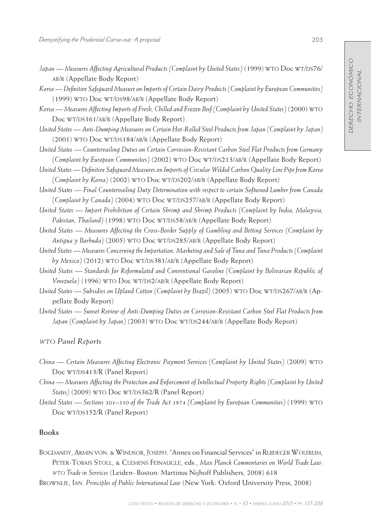- Japan Measures Affecting Agricultural Products (Complaint by United States) (1999) WTO Doc WT/DS76/ ab/r (Appellate Body Report)
- *Korea Definitive Safeguard Measure on Imports of Certain Dairy Products (Complaint by European Communities)* (1999) WTO Doc WT/DS98/AB/R (Appellate Body Report)
- *Korea Measures Affecting Imports of Fresh, Chilled and Frozen Beef (Complaint by United States)* (2000) wto Doc WT/DS161/AB/R (Appellate Body Report)
- *United States Anti-Dumping Measures on Certain Hot-Rolled Steel Products from Japan (Complaint by Japan)* (2001) WTO Doc WT/DS184/AB/R (Appellate Body Report)
- *United States Countervailing Duties on Certain Corrosion-Resistant Carbon Steel Flat Products from Germany (Complaint by European Communities)* (2002) WTO Doc WT/DS213/AB/R (Appellate Body Report)
- *United States Definitive Safeguard Measures on Imports of Circular Welded Carbon Quality Line Pipe from Korea (Complaint by Korea)* (2002) WTO Doc WT/DS202/AB/R (Appellate Body Report)
- *United States Final Countervailing Duty Determination with respect to certain Softwood Lumber from Canada (Complaint by Canada)* (2004) WTO Doc WT/DS257/AB/R (Appellate Body Report)
- *United States Import Prohibition of Certain Shrimp and Shrimp Products (Complaint by India, Malaysia,*  Pakistan, Thailand) (1998) WTO Doc WT/DS58/AB/R (Appellate Body Report)
- *United States Measures Affecting the Cross-Border Supply of Gambling and Betting Services (Complaint by*  Antigua y Barbuda)<sup>(2005)</sup> WTO Doc WT/DS285/AB/R (Appellate Body Report)
- *United States Measures Concerning the Importation, Marketing and Sale of Tuna and Tuna Products (Complaint*  by Mexico) (2012) WTO Doc WT/DS381/AB/R (Appellate Body Report)
- *United States Standards for Reformulated and Conventional Gasoline (Complaint by Bolivarian Republic of Venezuela*) (1996) WTO Doc WT/DS2/AB/R (Appellate Body Report)
- *United States* Subsidies on Upland Cotton (Complaint by Brazil) (2005) WTO Doc WT/DS267/AB/R (Appellate Body Report)
- *United States Sunset Review of Anti-Dumping Duties on Corrosion-Resistant Carbon Steel Flat Products from*  Japan (Complaint by Japan)<sup>(2003)</sup> WTO Doc WT/DS244/AB/R (Appellate Body Report)

#### *wto Panel Reports*

- *China Certain Measures Affecting Electronic Payment Services (Complaint by United States)* (2009) wto Doc WT/DS413/R (Panel Report)
- *China Measures Affecting the Protection and Enforcement of Intellectual Property Rights (Complaint by United*  States)<sup>(2009)</sup> WTO Doc WT/DS362/R (Panel Report)
- *United States Sections 301–310 of the Trade Act 1974 (Complaint by European Communities)* (1999) wto Doc WT/DS152/R (Panel Report)

# **Books**

Bogdandy, Armin von. & Windsor, Joseph. "Annex on Financial Services" in Ruideger Wolfrum, Peter-Tobais Stoll, & Clemens Feinaugle, eds., *Max Planck Commentaries on World Trade Law: wto Trade in Services* (Leiden- Boston: Martinus Nijhoff Publishers, 2008) 618 Brownlie, Ian. *Principles of Public International Law* (New York: Oxford University Press, 2008)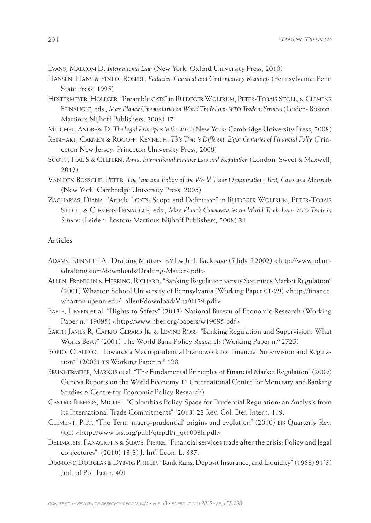Evans, Malcom D. *International Law* (New York: Oxford University Press, 2010)

- Hansen, Hans & Pinto, Robert. *Fallacies: Classical and Contemporary Readings* (Pennsylvania: Penn State Press, 1995)
- Hestermeyer, Holeger. "Preamble gats" in Ruideger Wolfrum, Peter-Tobais Stoll, & Clemens Feinaugle, eds., *Max Planck Commentaries on World Trade Law: wto Trade in Services* (Leiden- Boston: Martinus Nijhoff Publishers, 2008) 17

Mitchel, Andrew D. *The Legal Principles in the wto* (New York: Cambridge University Press, 2008)

- Reinhart, Carmen & Rogoff, Kenneth. *This Time is Different: Eight Centuries of Financial Folly* (Princeton New Jersey: Princeton University Press, 2009)
- Scott, Hal S & Gelpern, *Anna. International Finance Law and Regulation* (London: Sweet & Maxwell, 2012)
- Van den Bossche, Peter. *The Law and Policy of the World Trade Organization: Text, Cases and Materials*  (New York: Cambridge University Press, 2005)
- ZACHARIAS, DIANA. "Article I GATS: Scope and Definition" in RUIDEGER WOLFRUM, PETER-TOBAIS Stoll, & Clemens Feinaugle, eds., *Max Planck Commentaries on World Trade Law: wto Trade in Services* (Leiden- Boston: Martinus Nijhoff Publishers, 2008) 31

#### **Articles**

- Adams, Kenneth A. "Drafting Matters" ny Lw Jrnl. Backpage (5 July 5 2002) <http://www.adamsdrafting.com/downloads/Drafting-Matters.pdf>
- Allen, Franklin & Herring, Richard. "Banking Regulation versus Securities Market Regulation" (2001) Wharton School University of Pennsylvania (Working Paper 01-29) <http://finance. wharton.upenn.edu/~allenf/download/Vita/0129.pdf>
- Baele, Lieven et al. "Flights to Safety" (2013) National Bureau of Economic Research (Working Paper n.º 19095) <http://www.nber.org/papers/w19095.pdf>

Barth James R, Caprio Gerard Jr. & Levine Ross, "Banking Regulation and Supervision: What Works Best?" (2001) The World Bank Policy Research (Working Paper n.º 2725)

Borio, Claudio. "Towards a Macroprudential Framework for Financial Supervision and Regulation?" (2003) bis Working Paper n.º 128

- Brunnermeier, Markus et al. "The Fundamental Principles of Financial Market Regulation" (2009) Geneva Reports on the World Economy 11 (International Centre for Monetary and Banking Studies & Centre for Economic Policy Research)
- Castro-Riberos, Miguel. "Colombia's Policy Space for Prudential Regulation: an Analysis from its International Trade Commitments" (2013) 23 Rev. Col. Der. Intern. 119.
- Clement, Piet. "The Term 'macro-prudential' origins and evolution" (2010) bis Quarterly Rev.  $(QL)$  <http://www.bis.org/publ/qtrpdf/r\_qt1003h.pdf>
- Delimatsis, Panagiotis & Suavé, Pierre. "Financial services trade after the crisis: Policy and legal conjectures". (2010) 13(3) J. Int'l Econ. L. 837.
- Diamond Douglas & Dybvig Phillip. "Bank Runs, Deposit Insurance, and Liquidity" (1983) 91(3) Jrnl. of Pol. Econ. 401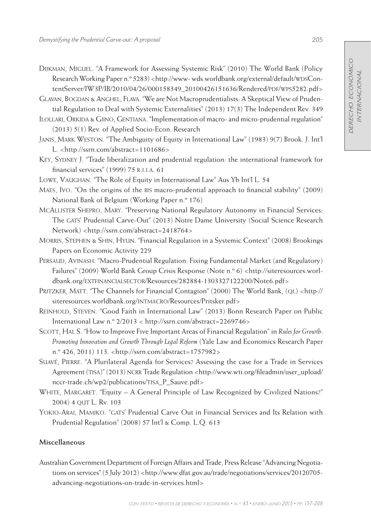Dijkman, Miguel. "A Framework for Assessing Systemic Risk" (2010) The World Bank (Policy Research Working Paper n.º 5283) <http://www- wds.worldbank.org/external/default/WDSContentServer/IW3P/IB/2010/04/26/000158349\_20100426151636/Rendered/pdf/wps5282.pdf>

Glavan, Bogdan & Anghel, Flava. "We are Not Macroprudentialists: A Skeptical View of Prudential Regulation to Deal with Systemic Externalities" (2013) 17(3) The Independent Rev. 349

Ilollari, Orkida & Gjino, Gentiana. "Implementation of macro- and micro-prudential regulation" (2013) 5(1) Rev. of Applied Socio-Econ. Research

Janis, Mark Weston. "The Ambiguity of Equity in International Law" (1983) 9(7) Brook. J. Int'l L. <http://ssrn.com/abstract=1101686>

- Key, Sydney J. "Trade liberalization and prudential regulation: the international framework for financial services" (1999) 75 r.i.i.a. 61
- Lowe, Vaughan. "The Role of Equity in International Law" Aus Yb Int'l L. 54
- Maes, Ivo. "On the origins of the bis macro-prudential approach to financial stability" (2009) National Bank of Belgium (Working Paper n.º 176)
- McAllister Shepro, Mary. "Preserving National Regulatory Autonomy in Financial Services: The GATS' Prudential Carve-Out" (2013) Notre Dame University (Social Science Research Network) <http://ssrn.com/abstract=2418764>
- Morris, Stephen & Shin, Hyun. "Financial Regulation in a Systemic Context" (2008) Brookings Papers on Economic Activity 229
- Persaud, Avinash. "Macro-Prudential Regulation: Fixing Fundamental Market (and Regulatory) Failures" (2009) World Bank Group Crisis Response (Note n.º 6) <http://siteresources.worldbank.org/extfinancialsector/Resources/282884-1303327122200/Note6.pdf>
- PRITZKER, MATT. "The Channels for Financial Contagion" (2000) The World Bank, (QL) <http:// siteresources.worldbank.org/INTMACRO/Resources/Pritsker.pdf>
- Reinhold, Steven. "Good Faith in International Law" (2013) Bonn Research Paper on Public International Law n.º 2/2013 < http://ssrn.com/abstract=2269746>
- Scott, Hal S. "How to Improve Five Important Areas of Financial Regulation" in *Rules for Growth: Promoting Innovation and Growth Through Legal Reform* (Yale Law and Economics Research Paper n.º 426, 2011) 113. <http://ssrn.com/abstract=1757982>
- Suavé, Pierre. "A Plurilateral Agenda for Services? Assessing the case for a Trade in Services Agreement (TISA)" (2013) NCRR Trade Regulation <http://www.wti.org/fileadmin/user\_upload/ nccr-trade.ch/wp2/publications/TISA P\_Sauve.pdf>
- WHITE, MARGARET. "Equity  $A$  General Principle of Law Recognized by Civilized Nations?" 2004) 4 qut L. Rv. 103
- Yokio-Arai, Mamiko. "gats' Prudential Carve Out in Financial Services and Its Relation with Prudential Regulation" (2008) 57 Int'l & Comp. L.Q. 613

# **Miscellaneous**

Australian Government Department of Foreign Affairs and Trade, Press Release "Advancing Negotiations on services" (5 July 2012) <http://www.dfat.gov.au/trade/negotiations/services/20120705advancing-negotiations-on-trade-in-services.html>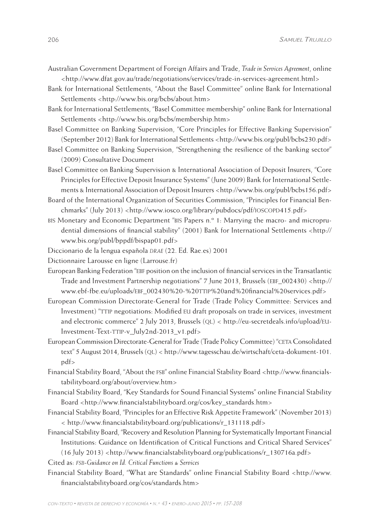- Australian Government Department of Foreign Affairs and Trade, *Trade in Services Agreement*, online <http://www.dfat.gov.au/trade/negotiations/services/trade-in-services-agreement.html>
- Bank for International Settlements, "About the Basel Committee" online Bank for International Settlements <http://www.bis.org/bcbs/about.htm>
- Bank for International Settlements, "Basel Committee membership" online Bank for International Settlements <http://www.bis.org/bcbs/membership.htm>
- Basel Committee on Banking Supervision, "Core Principles for Effective Banking Supervision" (September 2012) Bank for International Settlements <http://www.bis.org/publ/bcbs230.pdf>
- Basel Committee on Banking Supervision, "Strengthening the resilience of the banking sector" (2009) Consultative Document
- Basel Committee on Banking Supervision & International Association of Deposit Insurers, "Core Principles for Effective Deposit Insurance Systems" (June 2009) Bank for International Settlements & International Association of Deposit Insurers <http://www.bis.org/publ/bcbs156.pdf>
- Board of the International Organization of Securities Commission, "Principles for Financial Benchmarks" (July 2013) <http://www.iosco.org/library/pubdocs/pdf/ioscopp415.pdf>
- bis Monetary and Economic Department "bis Papers n.º 1: Marrying the macro- and microprudential dimensions of financial stability" (2001) Bank for International Settlements <http:// www.bis.org/publ/bppdf/bispap01.pdf>
- Diccionario de la lengua española *drae* (22. Ed. Rae.es) 2001
- Dictionnaire Larousse en ligne (Larrouse.fr)
- European Banking Federation "ebf position on the inclusion of financial services in the Transatlantic Trade and Investment Partnership negotiations" 7 June 2013, Brussels (ebf\_002430) <http:// www.ebf-fbe.eu/uploads/EBF\_002430%20-%20TTIP%20and%20financial%20services.pdf>
- European Commission Directorate-General for Trade (Trade Policy Committee: Services and Investment) "TTIP negotiations: Modified EU draft proposals on trade in services, investment and electronic commerce" 2 July 2013, Brussels (QL) < http://eu-secretdeals.info/upload/EU-Investment-Text-TTIP-v\_July2nd-2013\_v1.pdf>
- European Commission Directorate-General for Trade (Trade Policy Committee) "ceta Consolidated text" 5 August 2014, Brussels (ql) < http://www.tagesschau.de/wirtschaft/ceta-dokument-101. pdf>
- Financial Stability Board, "About the fsb" online Financial Stability Board <http://www.financialstabilityboard.org/about/overview.htm>
- Financial Stability Board, "Key Standards for Sound Financial Systems" online Financial Stability Board <http://www.financialstabilityboard.org/cos/key\_standards.htm>
- Financial Stability Board, "Principles for an Effective Risk Appetite Framework" (November 2013) < http://www.financialstabilityboard.org/publications/r\_131118.pdf>
- Financial Stability Board, "Recovery and Resolution Planning for Systematically Important Financial Institutions: Guidance on Identification of Critical Functions and Critical Shared Services"  $(16$  July 2013) <http://www.financialstabilityboard.org/publications/r\_130716a.pdf>
- Cited as: *fsb-Guidance on Id. Critical Functions & Services*
- Financial Stability Board, "What are Standards" online Financial Stability Board <http://www. financialstabilityboard.org/cos/standards.htm>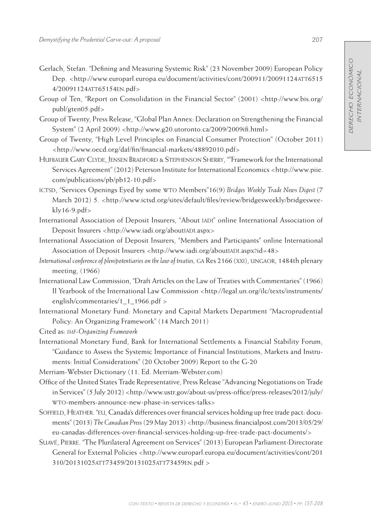- Gerlach, Stefan. "Defining and Measuring Systemic Risk" (23 November 2009) European Policy Dep. <http://www.europarl.europa.eu/document/activities/cont/200911/20091124ATT6515 4/20091124att65154en.pdf>
- Group of Ten, "Report on Consolidation in the Financial Sector" (2001) <http://www.bis.org/ publ/gten05.pdf>
- Group of Twenty, Press Release, "Global Plan Annex: Declaration on Strengthening the Financial System" (2 April 2009) <http://www.g20.utoronto.ca/2009/2009ifi.html>
- Group of Twenty, "High Level Principles on Financial Consumer Protection" (October 2011) <http://www.oecd.org/daf/fin/financial-markets/48892010.pdf>
- Hufbauer Gary Clyde, Jensen Bradford & Stephenson Sherry, ""Framework for the International Services Agreement" (2012) Peterson Institute for International Economics <http://www.piie. com/publications/pb/pb12-10.pdf>
- ictsd, "Services Openings Eyed by some wto Members"16(9) *Bridges Weekly Trade News Digest* (7 March 2012) 5. <http://www.ictsd.org/sites/default/files/review/bridgesweekly/bridgesweekly16-9.pdf>
- International Association of Deposit Insurers, "About iadi" online International Association of Deposit Insurers <http://www.iadi.org/aboutIADI.aspx>
- International Association of Deposit Insurers, "Members and Participants" online International Association of Deposit Insurers <http://www.iadi.org/aboutIADI.aspx?id=48>
- *International conference of plenipotentiaries on the law of treaties, GA Res 2166 (XXI), UNGAOR, 1484th plenary* meeting, (1966)
- International Law Commission, "Draft Articles on the Law of Treaties with Commentaries" (1966) II Yearbook of the International Law Commission <http://legal.un.org/ilc/texts/instruments/ english/commentaries/1\_1\_1966.pdf >
- International Monetary Fund: Monetary and Capital Markets Department "Macroprudential Policy: An Organizing Framework" (14 March 2011)

Cited as: *imf-Organizing Framework*

International Monetary Fund, Bank for International Settlements & Financial Stability Forum, "Guidance to Assess the Systemic Importance of Financial Institutions, Markets and Instruments: Initial Considerations" (20 October 2009) Report to the G-20

Merriam-Webster Dictionary (11. Ed. Merriam-Webster.com)

Office of the United States Trade Representative, Press Release "Advancing Negotiations on Trade in Services" (5 July 2012) <http://www.ustr.gov/about-us/press-office/press-releases/2012/july/ wto-members-announce-new-phase-in-services-talks>

- Soffield, Heather. "eu, Canada's differences over financial services holding up free trade pact: documents" (2013) *The Canadian Press* (29 May 2013) <http://business.financialpost.com/2013/05/29/ eu-canadas-differences-over-financial-services-holding-up-free-trade-pact-documents/>
- SUAVÉ, PIERRE. "The Plurilateral Agreement on Services" (2013) European Parliament-Directorate General for External Policies <http://www.europarl.europa.eu/document/activities/cont/201 310/20131025att73459/20131025att73459en.pdf >